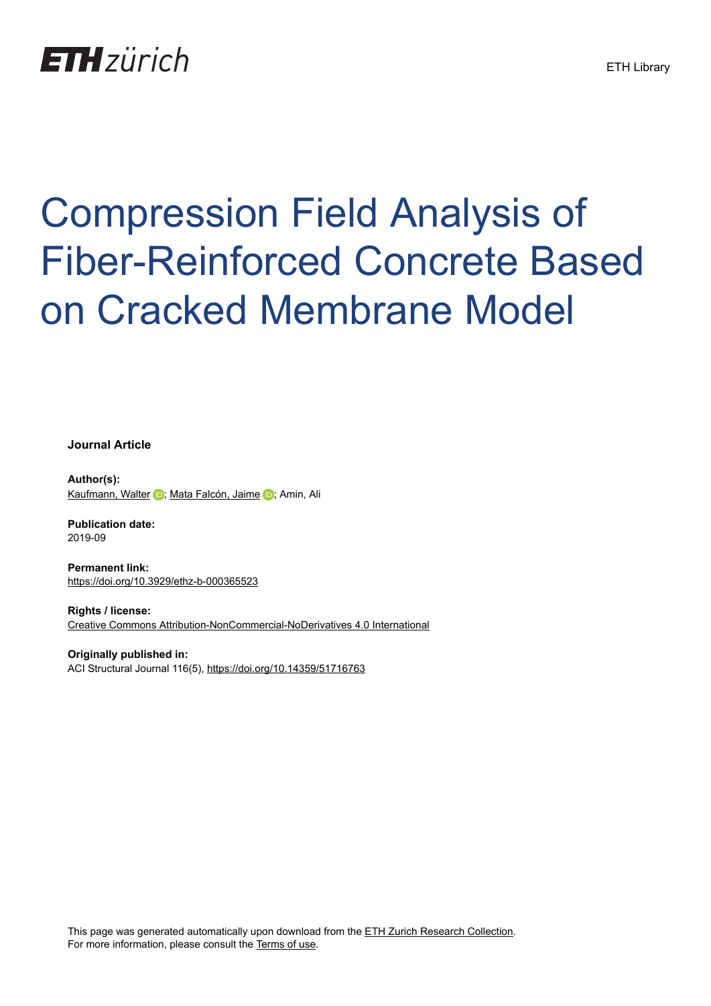# **ETH**zürich

# Compression Field Analysis of Fiber-Reinforced Concrete Based on Cracked Membrane Model

**Journal Article**

**Author(s):** [Kaufmann, Walter](https://orcid.org/0000-0002-8415-4896) D; [Mata Falcón, Jaime](https://orcid.org/0000-0001-8701-4410) D; Amin, Ali

**Publication date:** 2019-09

**Permanent link:** <https://doi.org/10.3929/ethz-b-000365523>

**Rights / license:** [Creative Commons Attribution-NonCommercial-NoDerivatives 4.0 International](http://creativecommons.org/licenses/by-nc-nd/4.0/)

**Originally published in:** ACI Structural Journal 116(5),<https://doi.org/10.14359/51716763>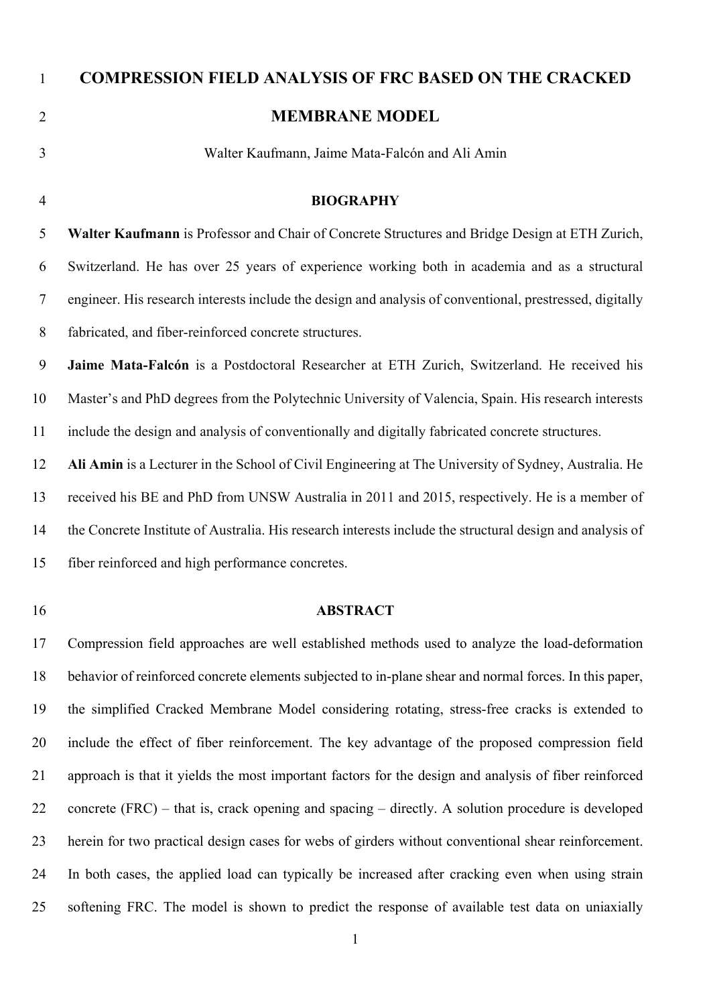| $\mathbf{1}$   | <b>COMPRESSION FIELD ANALYSIS OF FRC BASED ON THE CRACKED</b>                                             |  |  |  |  |
|----------------|-----------------------------------------------------------------------------------------------------------|--|--|--|--|
| $\overline{2}$ | <b>MEMBRANE MODEL</b>                                                                                     |  |  |  |  |
| 3              | Walter Kaufmann, Jaime Mata-Falcón and Ali Amin                                                           |  |  |  |  |
| $\overline{4}$ | <b>BIOGRAPHY</b>                                                                                          |  |  |  |  |
| 5              | Walter Kaufmann is Professor and Chair of Concrete Structures and Bridge Design at ETH Zurich,            |  |  |  |  |
| 6              | Switzerland. He has over 25 years of experience working both in academia and as a structural              |  |  |  |  |
| $\tau$         | engineer. His research interests include the design and analysis of conventional, prestressed, digitally  |  |  |  |  |
| $8\,$          | fabricated, and fiber-reinforced concrete structures.                                                     |  |  |  |  |
| 9              | Jaime Mata-Falcón is a Postdoctoral Researcher at ETH Zurich, Switzerland. He received his                |  |  |  |  |
| 10             | Master's and PhD degrees from the Polytechnic University of Valencia, Spain. His research interests       |  |  |  |  |
| 11             | include the design and analysis of conventionally and digitally fabricated concrete structures.           |  |  |  |  |
| 12             | Ali Amin is a Lecturer in the School of Civil Engineering at The University of Sydney, Australia. He      |  |  |  |  |
| 13             | received his BE and PhD from UNSW Australia in 2011 and 2015, respectively. He is a member of             |  |  |  |  |
| 14             | the Concrete Institute of Australia. His research interests include the structural design and analysis of |  |  |  |  |
| 15             | fiber reinforced and high performance concretes.                                                          |  |  |  |  |
| 16             | <b>ABSTRACT</b>                                                                                           |  |  |  |  |
| 17             | Compression field approaches are well established methods used to analyze the load-deformation            |  |  |  |  |
| 18             | behavior of reinforced concrete elements subjected to in-plane shear and normal forces. In this paper,    |  |  |  |  |
| 19             | the simplified Cracked Membrane Model considering rotating, stress-free cracks is extended to             |  |  |  |  |
| 20             | include the effect of fiber reinforcement. The key advantage of the proposed compression field            |  |  |  |  |

21 approach is that it yields the most important factors for the design and analysis of fiber reinforced 22 concrete (FRC) – that is, crack opening and spacing – directly. A solution procedure is developed 23 herein for two practical design cases for webs of girders without conventional shear reinforcement. 24 In both cases, the applied load can typically be increased after cracking even when using strain 25 softening FRC. The model is shown to predict the response of available test data on uniaxially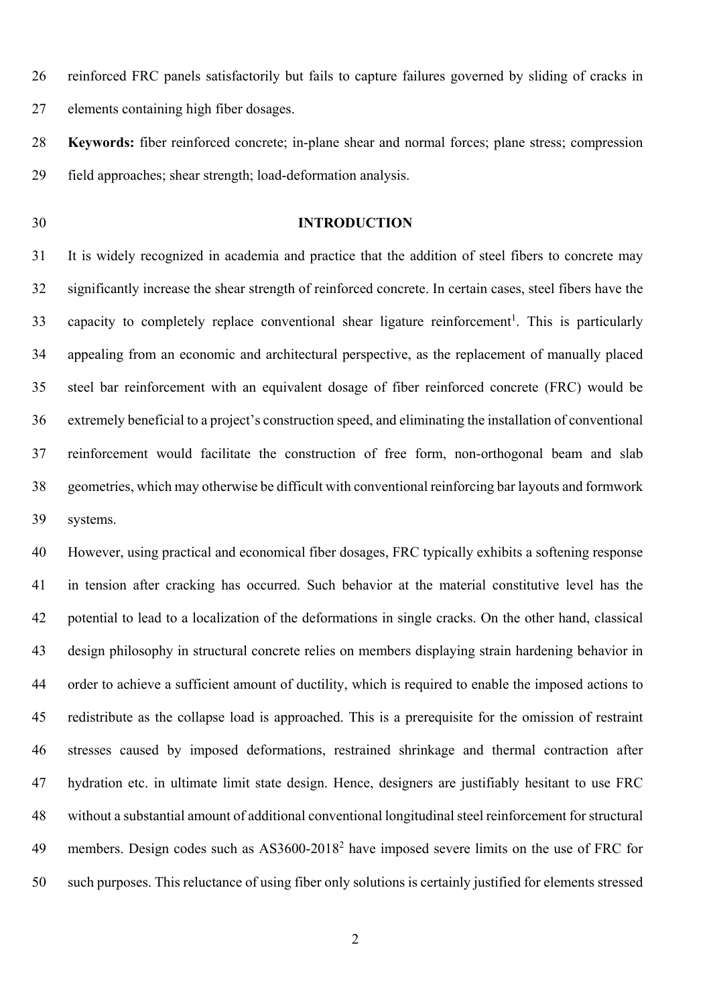26 reinforced FRC panels satisfactorily but fails to capture failures governed by sliding of cracks in 27 elements containing high fiber dosages.

28 **Keywords:** fiber reinforced concrete; in-plane shear and normal forces; plane stress; compression 29 field approaches; shear strength; load-deformation analysis.

#### 30 **INTRODUCTION**

31 It is widely recognized in academia and practice that the addition of steel fibers to concrete may 32 significantly increase the shear strength of reinforced concrete. In certain cases, steel fibers have the 33 capacity to completely replace conventional shear ligature reinforcement<sup>1</sup>. This is particularly 34 appealing from an economic and architectural perspective, as the replacement of manually placed 35 steel bar reinforcement with an equivalent dosage of fiber reinforced concrete (FRC) would be 36 extremely beneficial to a project's construction speed, and eliminating the installation of conventional 37 reinforcement would facilitate the construction of free form, non-orthogonal beam and slab 38 geometries, which may otherwise be difficult with conventional reinforcing bar layouts and formwork 39 systems.

40 However, using practical and economical fiber dosages, FRC typically exhibits a softening response 41 in tension after cracking has occurred. Such behavior at the material constitutive level has the 42 potential to lead to a localization of the deformations in single cracks. On the other hand, classical 43 design philosophy in structural concrete relies on members displaying strain hardening behavior in 44 order to achieve a sufficient amount of ductility, which is required to enable the imposed actions to 45 redistribute as the collapse load is approached. This is a prerequisite for the omission of restraint 46 stresses caused by imposed deformations, restrained shrinkage and thermal contraction after 47 hydration etc. in ultimate limit state design. Hence, designers are justifiably hesitant to use FRC 48 without a substantial amount of additional conventional longitudinal steel reinforcement for structural 49 members. Design codes such as AS3600-2018<sup>2</sup> have imposed severe limits on the use of FRC for 50 such purposes. This reluctance of using fiber only solutions is certainly justified for elements stressed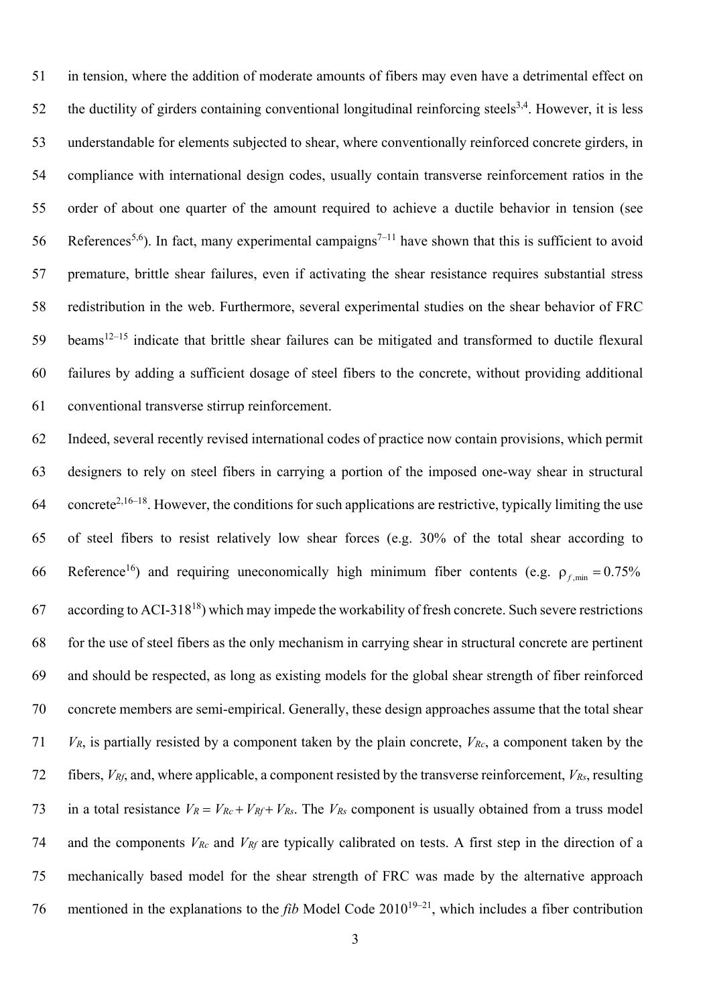51 in tension, where the addition of moderate amounts of fibers may even have a detrimental effect on 52 the ductility of girders containing conventional longitudinal reinforcing steels<sup>3,4</sup>. However, it is less 53 understandable for elements subjected to shear, where conventionally reinforced concrete girders, in 54 compliance with international design codes, usually contain transverse reinforcement ratios in the 55 order of about one quarter of the amount required to achieve a ductile behavior in tension (see 56 References<sup>5,6</sup>). In fact, many experimental campaigns<sup>7–11</sup> have shown that this is sufficient to avoid 57 premature, brittle shear failures, even if activating the shear resistance requires substantial stress 58 redistribution in the web. Furthermore, several experimental studies on the shear behavior of FRC  $59$  beams<sup>12–15</sup> indicate that brittle shear failures can be mitigated and transformed to ductile flexural 60 failures by adding a sufficient dosage of steel fibers to the concrete, without providing additional 61 conventional transverse stirrup reinforcement.

62 Indeed, several recently revised international codes of practice now contain provisions, which permit 63 designers to rely on steel fibers in carrying a portion of the imposed one-way shear in structural 64 concrete<sup>2,16–18</sup>. However, the conditions for such applications are restrictive, typically limiting the use 65 of steel fibers to resist relatively low shear forces (e.g. 30% of the total shear according to 66 Reference<sup>16</sup>) and requiring uneconomically high minimum fiber contents (e.g.  $\rho_{f,min} = 0.75\%$ 67 according to ACI-318<sup>18</sup>) which may impede the workability of fresh concrete. Such severe restrictions 68 for the use of steel fibers as the only mechanism in carrying shear in structural concrete are pertinent 69 and should be respected, as long as existing models for the global shear strength of fiber reinforced 70 concrete members are semi-empirical. Generally, these design approaches assume that the total shear 71 *VR*, is partially resisted by a component taken by the plain concrete, *VRc*, a component taken by the 72 fibers, *VRf*, and, where applicable, a component resisted by the transverse reinforcement, *VRs*, resulting 73 in a total resistance  $V_R = V_{Rc} + V_{Rf} + V_{Rs}$ . The  $V_{Rs}$  component is usually obtained from a truss model 74 and the components *VRc* and *VRf* are typically calibrated on tests. A first step in the direction of a 75 mechanically based model for the shear strength of FRC was made by the alternative approach 76 mentioned in the explanations to the *fib* Model Code 2010<sup>19–21</sup>, which includes a fiber contribution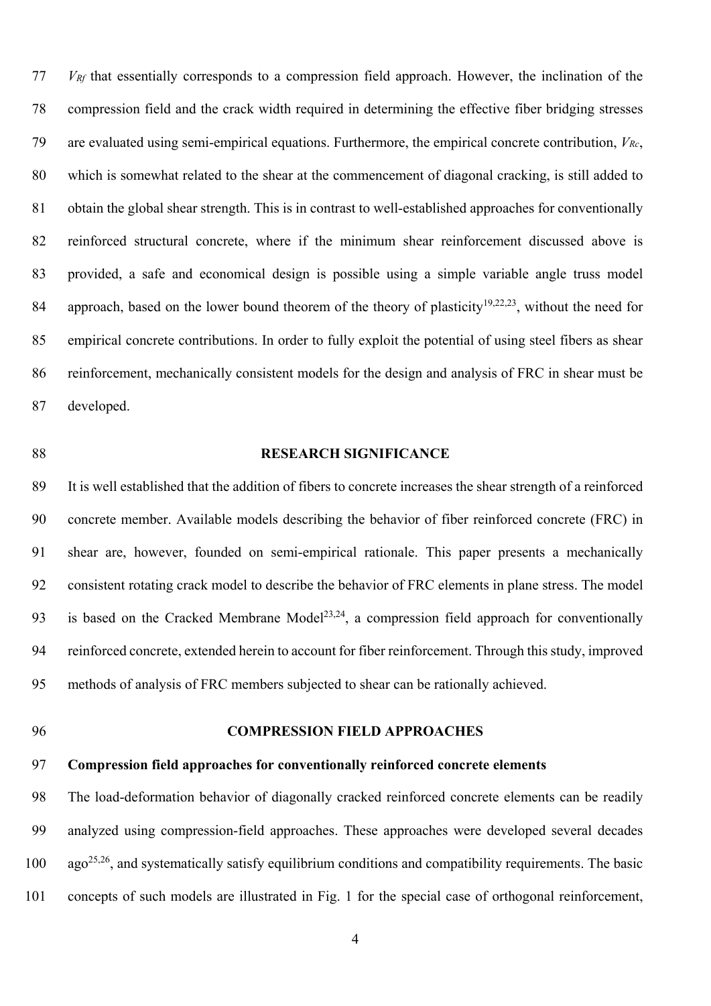77 *VRf* that essentially corresponds to a compression field approach. However, the inclination of the 78 compression field and the crack width required in determining the effective fiber bridging stresses 79 are evaluated using semi-empirical equations. Furthermore, the empirical concrete contribution, *VRc*, 80 which is somewhat related to the shear at the commencement of diagonal cracking, is still added to 81 obtain the global shear strength. This is in contrast to well-established approaches for conventionally 82 reinforced structural concrete, where if the minimum shear reinforcement discussed above is 83 provided, a safe and economical design is possible using a simple variable angle truss model 84 approach, based on the lower bound theorem of the theory of plasticity<sup>19,22,23</sup>, without the need for 85 empirical concrete contributions. In order to fully exploit the potential of using steel fibers as shear 86 reinforcement, mechanically consistent models for the design and analysis of FRC in shear must be 87 developed.

#### 88 **RESEARCH SIGNIFICANCE**

89 It is well established that the addition of fibers to concrete increases the shear strength of a reinforced 90 concrete member. Available models describing the behavior of fiber reinforced concrete (FRC) in 91 shear are, however, founded on semi-empirical rationale. This paper presents a mechanically 92 consistent rotating crack model to describe the behavior of FRC elements in plane stress. The model 93 is based on the Cracked Membrane Model<sup>23,24</sup>, a compression field approach for conventionally 94 reinforced concrete, extended herein to account for fiber reinforcement. Through this study, improved 95 methods of analysis of FRC members subjected to shear can be rationally achieved.

### 96 **COMPRESSION FIELD APPROACHES**

# 97 **Compression field approaches for conventionally reinforced concrete elements**

98 The load-deformation behavior of diagonally cracked reinforced concrete elements can be readily 99 analyzed using compression-field approaches. These approaches were developed several decades  $100$  ago<sup>25,26</sup>, and systematically satisfy equilibrium conditions and compatibility requirements. The basic 101 concepts of such models are illustrated in Fig. 1 for the special case of orthogonal reinforcement,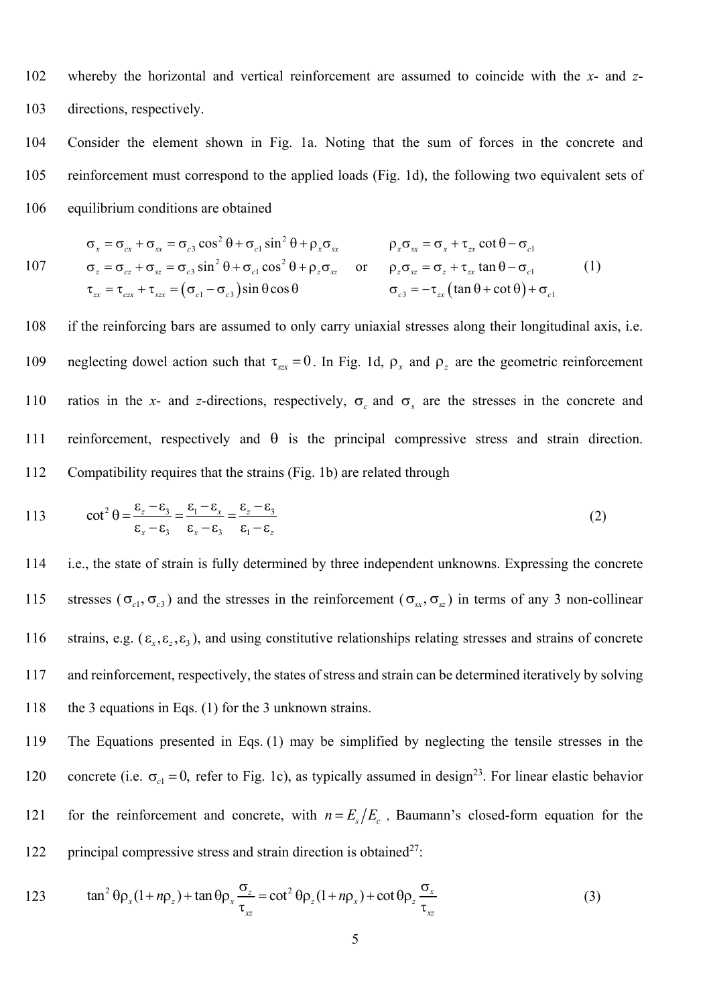102 whereby the horizontal and vertical reinforcement are assumed to coincide with the *x*- and *z*-103 directions, respectively.

104 Consider the element shown in Fig. 1a. Noting that the sum of forces in the concrete and 105 reinforcement must correspond to the applied loads (Fig. 1d), the following two equivalent sets of 106 equilibrium conditions are obtained

$$
\sigma_x = \sigma_{cx} + \sigma_{sx} = \sigma_{c3} \cos^2 \theta + \sigma_{c1} \sin^2 \theta + \rho_x \sigma_{sx} \qquad \rho_x \sigma_{sx} = \sigma_x + \tau_{zx} \cot \theta - \sigma_{c1}
$$
\n
$$
\sigma_z = \sigma_{cz} + \sigma_{sz} = \sigma_{c3} \sin^2 \theta + \sigma_{c1} \cos^2 \theta + \rho_z \sigma_{sz} \qquad \text{or} \qquad \rho_z \sigma_{sz} = \sigma_z + \tau_{zx} \tan \theta - \sigma_{c1}
$$
\n
$$
\tau_{zx} = \tau_{cx} + \tau_{sx} = (\sigma_{c1} - \sigma_{c3}) \sin \theta \cos \theta \qquad \sigma_{c3} = -\tau_{zx} (\tan \theta + \cot \theta) + \sigma_{c1}
$$
\n(1)

108 if the reinforcing bars are assumed to only carry uniaxial stresses along their longitudinal axis, i.e. neglecting dowel action such that  $\tau_{\text{SZX}} = 0$ . In Fig. 1d,  $\rho_{\text{X}}$  and  $\rho_{\text{Z}}$  are the geometric reinforcement 110 ratios in the *x*- and *z*-directions, respectively,  $\sigma_c$  and  $\sigma_s$  are the stresses in the concrete and 111 reinforcement, respectively and  $\theta$  is the principal compressive stress and strain direction. 112 Compatibility requires that the strains (Fig. 1b) are related through

113 
$$
\cot^2 \theta = \frac{\varepsilon_z - \varepsilon_3}{\varepsilon_x - \varepsilon_3} = \frac{\varepsilon_1 - \varepsilon_x}{\varepsilon_x - \varepsilon_3} = \frac{\varepsilon_z - \varepsilon_3}{\varepsilon_1 - \varepsilon_2}
$$
(2)

114 i.e., the state of strain is fully determined by three independent unknowns. Expressing the concrete 115 stresses ( $\sigma_{c1}, \sigma_{c3}$ ) and the stresses in the reinforcement ( $\sigma_{sx}, \sigma_{sz}$ ) in terms of any 3 non-collinear 116 strains, e.g.  $(\varepsilon_x, \varepsilon_z, \varepsilon_3)$ , and using constitutive relationships relating stresses and strains of concrete 117 and reinforcement, respectively, the states of stress and strain can be determined iteratively by solving 118 the 3 equations in Eqs. (1) for the 3 unknown strains.

119 The Equations presented in Eqs. (1) may be simplified by neglecting the tensile stresses in the 120 concrete (i.e.  $\sigma_{c1} = 0$ , refer to Fig. 1c), as typically assumed in design<sup>23</sup>. For linear elastic behavior 121 for the reinforcement and concrete, with  $n = E_e/E_e$ , Baumann's closed-form equation for the 122 principal compressive stress and strain direction is obtained<sup>27</sup>:

123 
$$
\tan^2 \theta \rho_x (1 + n \rho_z) + \tan \theta \rho_x \frac{\sigma_z}{\tau_{xz}} = \cot^2 \theta \rho_z (1 + n \rho_x) + \cot \theta \rho_z \frac{\sigma_x}{\tau_{xz}}
$$
(3)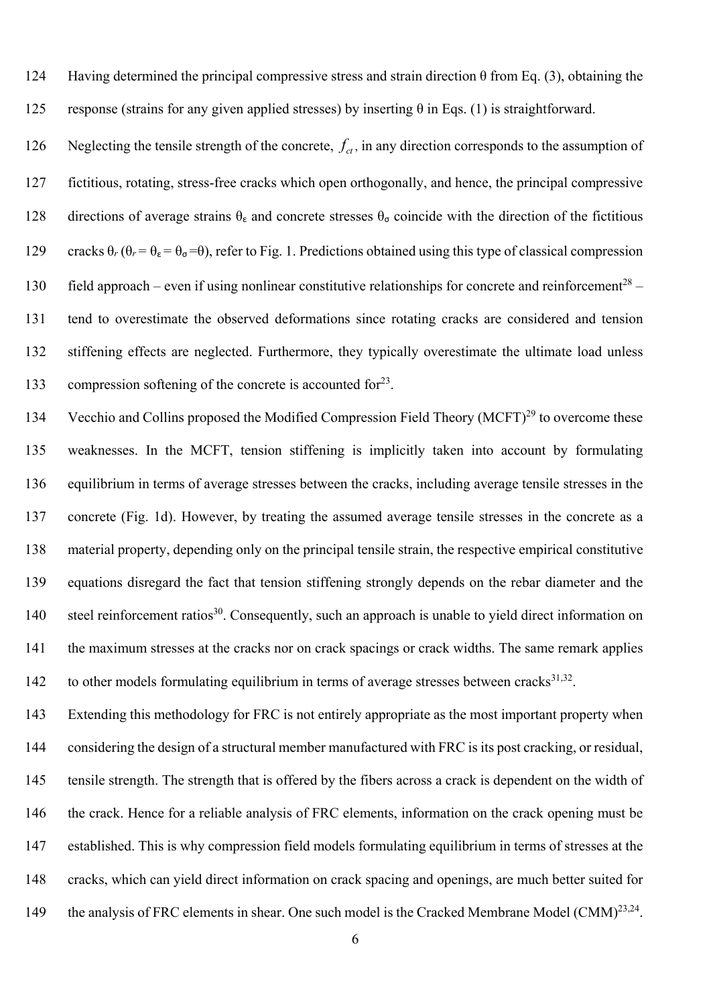124 Having determined the principal compressive stress and strain direction θ from Eq. (3), obtaining the 125 response (strains for any given applied stresses) by inserting  $\theta$  in Eqs. (1) is straightforward.

126 Neglecting the tensile strength of the concrete,  $f_{ct}$ , in any direction corresponds to the assumption of 127 fictitious, rotating, stress-free cracks which open orthogonally, and hence, the principal compressive 128 directions of average strains  $\theta_{\epsilon}$  and concrete stresses  $\theta_{\sigma}$  coincide with the direction of the fictitious 129 cracks  $\theta_r$  ( $\theta_r = \theta_{\epsilon} = \theta_{\sigma} = \theta$ ), refer to Fig. 1. Predictions obtained using this type of classical compression 130 field approach – even if using nonlinear constitutive relationships for concrete and reinforcement<sup>28</sup> – 131 tend to overestimate the observed deformations since rotating cracks are considered and tension 132 stiffening effects are neglected. Furthermore, they typically overestimate the ultimate load unless 133 compression softening of the concrete is accounted for  $23$ .

134 Vecchio and Collins proposed the Modified Compression Field Theory (MCFT)<sup>29</sup> to overcome these 135 weaknesses. In the MCFT, tension stiffening is implicitly taken into account by formulating 136 equilibrium in terms of average stresses between the cracks, including average tensile stresses in the 137 concrete (Fig. 1d). However, by treating the assumed average tensile stresses in the concrete as a 138 material property, depending only on the principal tensile strain, the respective empirical constitutive 139 equations disregard the fact that tension stiffening strongly depends on the rebar diameter and the 140 steel reinforcement ratios<sup>30</sup>. Consequently, such an approach is unable to yield direct information on 141 the maximum stresses at the cracks nor on crack spacings or crack widths. The same remark applies 142 to other models formulating equilibrium in terms of average stresses between cracks $31,32$ .

143 Extending this methodology for FRC is not entirely appropriate as the most important property when 144 considering the design of a structural member manufactured with FRC is its post cracking, or residual, 145 tensile strength. The strength that is offered by the fibers across a crack is dependent on the width of 146 the crack. Hence for a reliable analysis of FRC elements, information on the crack opening must be 147 established. This is why compression field models formulating equilibrium in terms of stresses at the 148 cracks, which can yield direct information on crack spacing and openings, are much better suited for 149 the analysis of FRC elements in shear. One such model is the Cracked Membrane Model (CMM)<sup>23,24</sup>.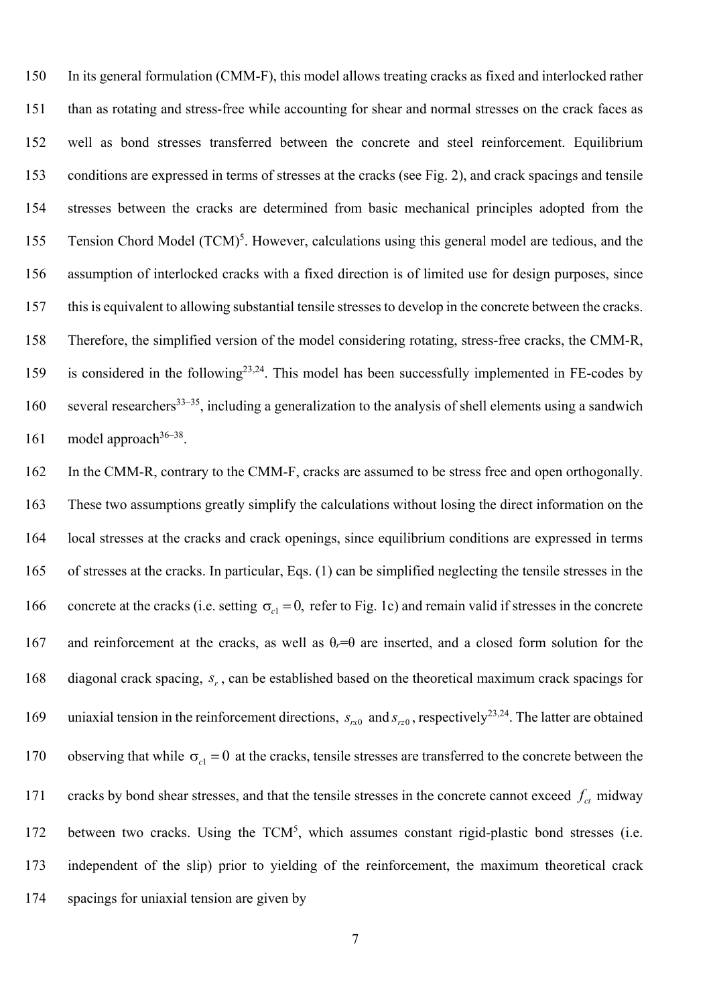150 In its general formulation (CMM-F), this model allows treating cracks as fixed and interlocked rather 151 than as rotating and stress-free while accounting for shear and normal stresses on the crack faces as 152 well as bond stresses transferred between the concrete and steel reinforcement. Equilibrium 153 conditions are expressed in terms of stresses at the cracks (see Fig. 2), and crack spacings and tensile 154 stresses between the cracks are determined from basic mechanical principles adopted from the 155 Tension Chord Model  $(TCM)^5$ . However, calculations using this general model are tedious, and the 156 assumption of interlocked cracks with a fixed direction is of limited use for design purposes, since 157 this is equivalent to allowing substantial tensile stresses to develop in the concrete between the cracks. 158 Therefore, the simplified version of the model considering rotating, stress-free cracks, the CMM-R, 159 is considered in the following<sup>23,24</sup>. This model has been successfully implemented in FE-codes by 160 several researchers<sup>33–35</sup>, including a generalization to the analysis of shell elements using a sandwich 161 model approach  $36-38$ .

162 In the CMM-R, contrary to the CMM-F, cracks are assumed to be stress free and open orthogonally. 163 These two assumptions greatly simplify the calculations without losing the direct information on the 164 local stresses at the cracks and crack openings, since equilibrium conditions are expressed in terms 165 of stresses at the cracks. In particular, Eqs. (1) can be simplified neglecting the tensile stresses in the 166 concrete at the cracks (i.e. setting  $\sigma_{c1} = 0$ , refer to Fig. 1c) and remain valid if stresses in the concrete 167 and reinforcement at the cracks, as well as θ*r*=θ are inserted, and a closed form solution for the 168 diagonal crack spacing, *s<sub>r</sub>*, can be established based on the theoretical maximum crack spacings for 169 uniaxial tension in the reinforcement directions,  $s_{r0}$  and  $s_{r20}$ , respectively<sup>23,24</sup>. The latter are obtained 170 observing that while  $\sigma_{c1} = 0$  at the cracks, tensile stresses are transferred to the concrete between the 171 cracks by bond shear stresses, and that the tensile stresses in the concrete cannot exceed  $f_{ct}$  midway 172 between two cracks. Using the  $TCM<sup>5</sup>$ , which assumes constant rigid-plastic bond stresses (i.e. 173 independent of the slip) prior to yielding of the reinforcement, the maximum theoretical crack 174 spacings for uniaxial tension are given by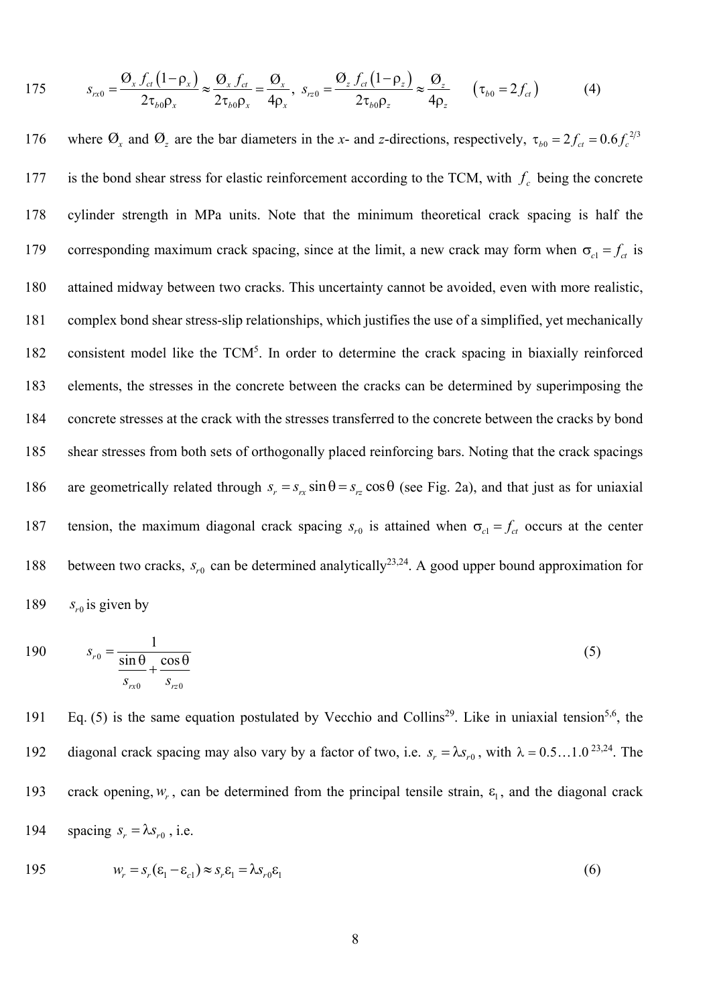175 
$$
s_{rx0} = \frac{\mathcal{O}_x f_{ct} (1 - \rho_x)}{2\tau_{b0} \rho_x} \approx \frac{\mathcal{O}_x f_{ct}}{2\tau_{b0} \rho_x} = \frac{\mathcal{O}_x}{4\rho_x}, \quad s_{rz0} = \frac{\mathcal{O}_z f_{ct} (1 - \rho_z)}{2\tau_{b0} \rho_z} \approx \frac{\mathcal{O}_z}{4\rho_z} \qquad (\tau_{b0} = 2f_{ct})
$$
(4)

176 where  $\mathcal{O}_x$  and  $\mathcal{O}_z$  are the bar diameters in the *x*- and *z*-directions, respectively,  $\tau_{b0} = 2f_{ct} = 0.6f_c^{2/3}$ is the bond shear stress for elastic reinforcement according to the TCM, with  $f_c$  being the concrete 178 cylinder strength in MPa units. Note that the minimum theoretical crack spacing is half the corresponding maximum crack spacing, since at the limit, a new crack may form when  $\sigma_{c1} = f_{ct}$  is 180 attained midway between two cracks. This uncertainty cannot be avoided, even with more realistic, 181 complex bond shear stress-slip relationships, which justifies the use of a simplified, yet mechanically 182 consistent model like the TCM<sup>5</sup>. In order to determine the crack spacing in biaxially reinforced 183 elements, the stresses in the concrete between the cracks can be determined by superimposing the 184 concrete stresses at the crack with the stresses transferred to the concrete between the cracks by bond 185 shear stresses from both sets of orthogonally placed reinforcing bars. Noting that the crack spacings 186 are geometrically related through  $s_r = s_{rx} \sin \theta = s_{rz} \cos \theta$  (see Fig. 2a), and that just as for uniaxial 187 tension, the maximum diagonal crack spacing  $s_{r0}$  is attained when  $\sigma_{c1} = f_{ct}$  occurs at the center 188 between two cracks,  $s_{r0}$  can be determined analytically<sup>23,24</sup>. A good upper bound approximation for 189  $s_{r0}$  is given by

$$
190 \t\t s_{r0} = \frac{1}{\frac{\sin \theta}{s_{rx0}} + \frac{\cos \theta}{s_{rz0}}} \t\t(5)
$$

191 Eq. (5) is the same equation postulated by Vecchio and Collins<sup>29</sup>. Like in uniaxial tension<sup>5,6</sup>, the diagonal crack spacing may also vary by a factor of two, i.e.  $s_r = \lambda s_{r0}$ , with  $\lambda = 0.5 ... 1.0^{23,24}$ . The 193 crack opening,  $w_r$ , can be determined from the principal tensile strain,  $\varepsilon_1$ , and the diagonal crack 194 spacing  $s_r = \lambda s_{r0}$ , i.e.

195 
$$
w_r = s_r(\varepsilon_1 - \varepsilon_{c1}) \approx s_r \varepsilon_1 = \lambda s_{r0} \varepsilon_1
$$
 (6)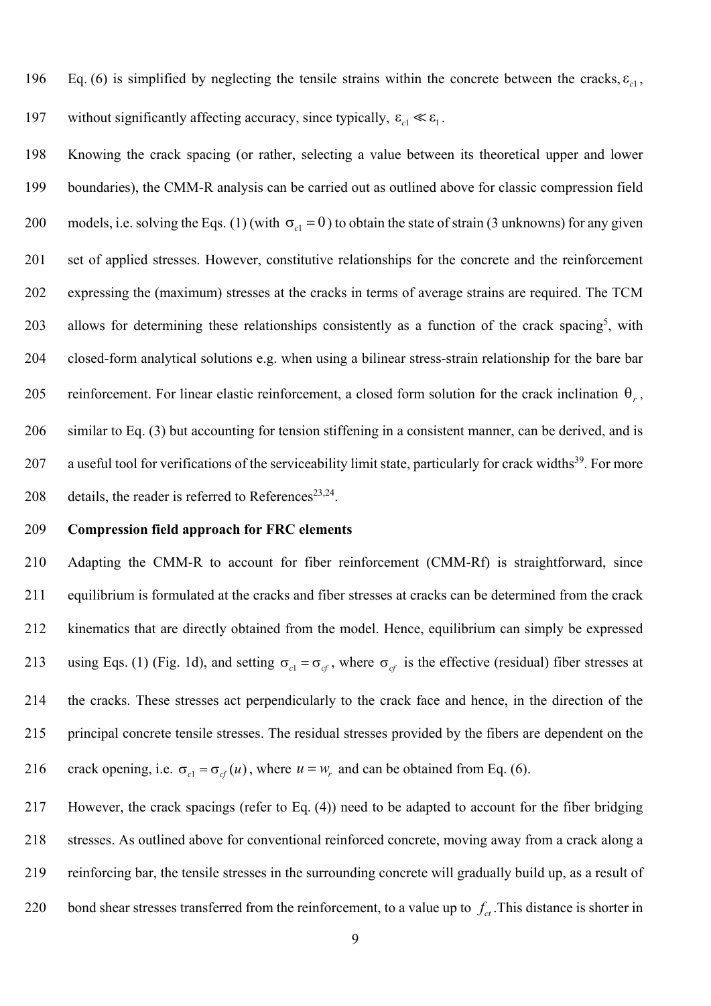196 Eq. (6) is simplified by neglecting the tensile strains within the concrete between the cracks,  $\varepsilon_{c1}$ ,

197 without significantly affecting accuracy, since typically,  $\varepsilon_{c1} \ll \varepsilon_1$ .

198 Knowing the crack spacing (or rather, selecting a value between its theoretical upper and lower 199 boundaries), the CMM-R analysis can be carried out as outlined above for classic compression field 200 models, i.e. solving the Eqs. (1) (with  $\sigma_{c} = 0$ ) to obtain the state of strain (3 unknowns) for any given 201 set of applied stresses. However, constitutive relationships for the concrete and the reinforcement 202 expressing the (maximum) stresses at the cracks in terms of average strains are required. The TCM 203 allows for determining these relationships consistently as a function of the crack spacing<sup>5</sup>, with 204 closed-form analytical solutions e.g. when using a bilinear stress-strain relationship for the bare bar reinforcement. For linear elastic reinforcement, a closed form solution for the crack inclination  $\theta_r$ , 206 similar to Eq. (3) but accounting for tension stiffening in a consistent manner, can be derived, and is 207 a useful tool for verifications of the serviceability limit state, particularly for crack widths<sup>39</sup>. For more 208 details, the reader is referred to References<sup>23,24</sup>.

#### 209 **Compression field approach for FRC elements**

210 Adapting the CMM-R to account for fiber reinforcement (CMM-Rf) is straightforward, since 211 equilibrium is formulated at the cracks and fiber stresses at cracks can be determined from the crack 212 kinematics that are directly obtained from the model. Hence, equilibrium can simply be expressed 213 using Eqs. (1) (Fig. 1d), and setting  $\sigma_{c} = \sigma_{cf}$ , where  $\sigma_{cf}$  is the effective (residual) fiber stresses at 214 the cracks. These stresses act perpendicularly to the crack face and hence, in the direction of the 215 principal concrete tensile stresses. The residual stresses provided by the fibers are dependent on the 216 crack opening, i.e.  $\sigma_{c1} = \sigma_{cf}(u)$ , where  $u = w_r$  and can be obtained from Eq. (6).

217 However, the crack spacings (refer to Eq. (4)) need to be adapted to account for the fiber bridging 218 stresses. As outlined above for conventional reinforced concrete, moving away from a crack along a 219 reinforcing bar, the tensile stresses in the surrounding concrete will gradually build up, as a result of 220 bond shear stresses transferred from the reinforcement, to a value up to  $f_a$ . This distance is shorter in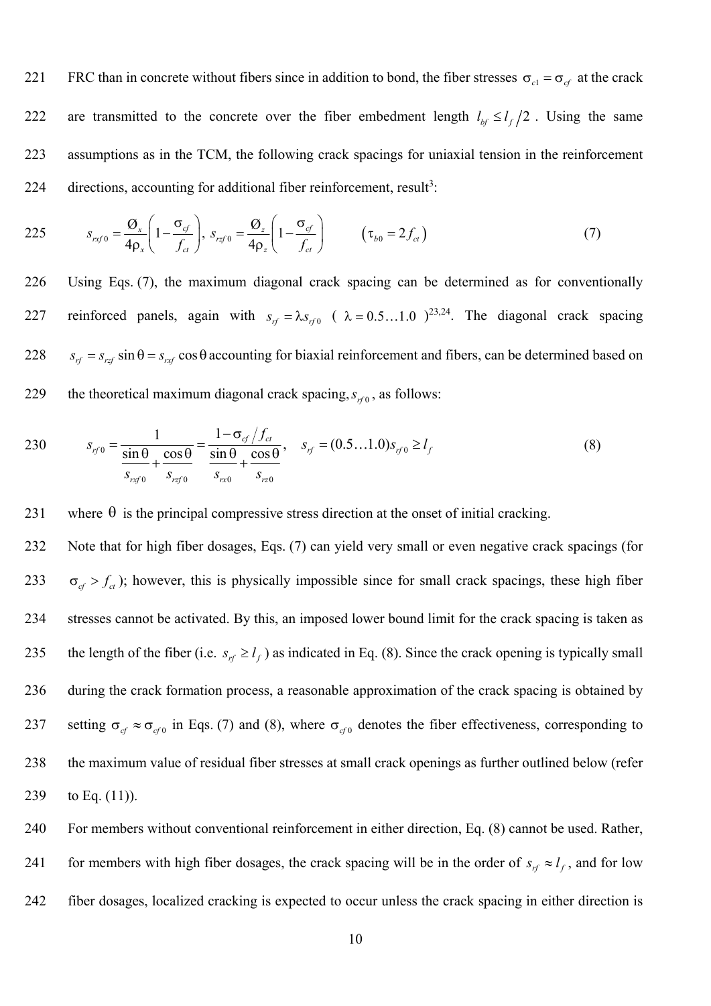221 FRC than in concrete without fibers since in addition to bond, the fiber stresses  $\sigma_{c1} = \sigma_{cf}$  at the crack 222 are transmitted to the concrete over the fiber embedment length  $l_{bf} \le l_f/2$ . Using the same 223 assumptions as in the TCM, the following crack spacings for uniaxial tension in the reinforcement 224 directions, accounting for additional fiber reinforcement, result<sup>3</sup>:

225 
$$
s_{\text{rxf }0} = \frac{\mathcal{O}_{x}}{4\rho_{x}} \left(1 - \frac{\sigma_{\text{cf}}}{f_{\text{ct}}}\right), \quad s_{\text{rxf }0} = \frac{\mathcal{O}_{z}}{4\rho_{z}} \left(1 - \frac{\sigma_{\text{cf}}}{f_{\text{ct}}}\right) \quad (\tau_{b0} = 2f_{\text{ct}})
$$
(7)

226 Using Eqs. (7), the maximum diagonal crack spacing can be determined as for conventionally 227 reinforced panels, again with  $s_{rf} = \lambda s_{rf0}$  (  $\lambda = 0.5...1.0$  )<sup>23,24</sup>. The diagonal crack spacing 228  $s_{rf} = s_{rsf} \sin \theta = s_{rsf} \cos \theta$  accounting for biaxial reinforcement and fibers, can be determined based on 229 the theoretical maximum diagonal crack spacing,  $s_{r f0}$ , as follows:

230 
$$
s_{rf0} = \frac{1}{\frac{\sin \theta}{s_{rxf0}} + \frac{\cos \theta}{s_{rxf0}}} = \frac{1 - \sigma_{cf} / f_{ct}}{\frac{\sin \theta}{s_{rxf0}} + \frac{\cos \theta}{s_{rz0}}}, \quad s_{rf} = (0.5...1.0)s_{rf0} \ge l_f
$$
(8)

231 where  $\theta$  is the principal compressive stress direction at the onset of initial cracking.

232 Note that for high fiber dosages, Eqs. (7) can yield very small or even negative crack spacings (for 233  $\sigma_{cf} > f_{cf}$ ); however, this is physically impossible since for small crack spacings, these high fiber 234 stresses cannot be activated. By this, an imposed lower bound limit for the crack spacing is taken as 235 the length of the fiber (i.e.  $s_{rf} \ge l_f$ ) as indicated in Eq. (8). Since the crack opening is typically small 236 during the crack formation process, a reasonable approximation of the crack spacing is obtained by 237 setting  $\sigma_{cf} \approx \sigma_{cf0}$  in Eqs. (7) and (8), where  $\sigma_{cf0}$  denotes the fiber effectiveness, corresponding to 238 the maximum value of residual fiber stresses at small crack openings as further outlined below (refer 239 to Eq.  $(11)$ ).

240 For members without conventional reinforcement in either direction, Eq. (8) cannot be used. Rather, 241 for members with high fiber dosages, the crack spacing will be in the order of  $s_{rf} \approx l_f$ , and for low 242 fiber dosages, localized cracking is expected to occur unless the crack spacing in either direction is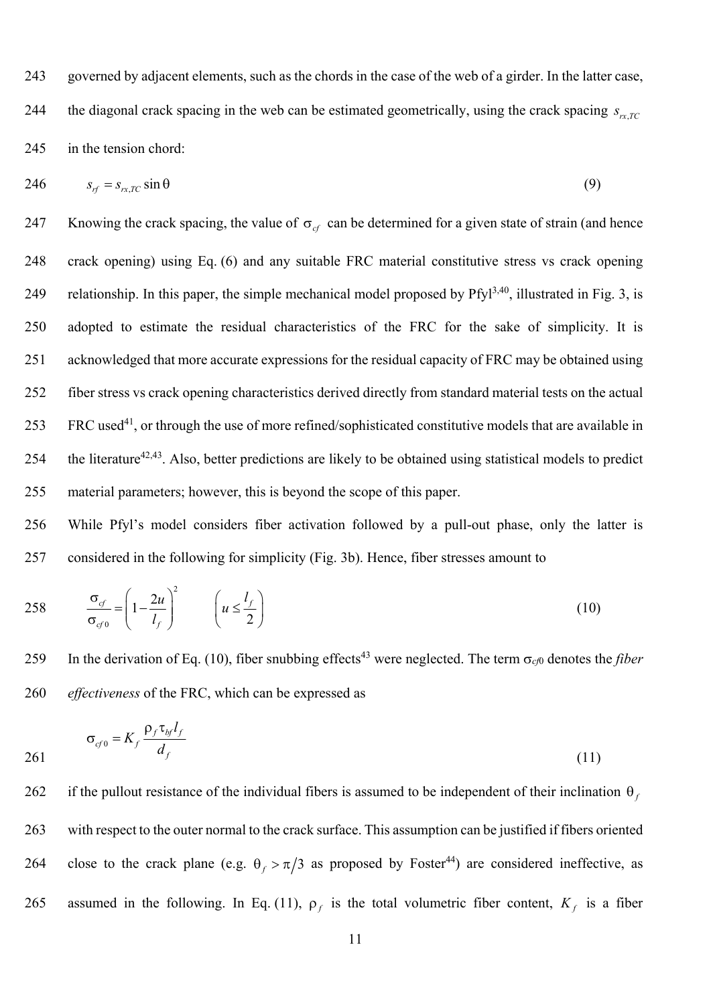243 governed by adjacent elements, such as the chords in the case of the web of a girder. In the latter case, the diagonal crack spacing in the web can be estimated geometrically, using the crack spacing  $s_{rrTC}$ 245 in the tension chord:

$$
246 \t\t s_{rf} = s_{rx,TC} \sin \theta \t\t(9)
$$

247 Knowing the crack spacing, the value of  $\sigma_{cf}$  can be determined for a given state of strain (and hence 248 crack opening) using Eq. (6) and any suitable FRC material constitutive stress vs crack opening 249 relationship. In this paper, the simple mechanical model proposed by  $Pfy1^{3,40}$ , illustrated in Fig. 3, is 250 adopted to estimate the residual characteristics of the FRC for the sake of simplicity. It is 251 acknowledged that more accurate expressions for the residual capacity of FRC may be obtained using 252 fiber stress vs crack opening characteristics derived directly from standard material tests on the actual 253 FRC used<sup>41</sup>, or through the use of more refined/sophisticated constitutive models that are available in 254 the literature<sup>42,43</sup>. Also, better predictions are likely to be obtained using statistical models to predict 255 material parameters; however, this is beyond the scope of this paper.

256 While Pfyl's model considers fiber activation followed by a pull-out phase, only the latter is 257 considered in the following for simplicity (Fig. 3b). Hence, fiber stresses amount to

258 
$$
\frac{\sigma_{cf}}{\sigma_{cf0}} = \left(1 - \frac{2u}{l_f}\right)^2 \qquad \left(u \le \frac{l_f}{2}\right)
$$
 (10)

259 In the derivation of Eq. (10), fiber snubbing effects<sup>43</sup> were neglected. The term  $\sigma_{c/0}$  denotes the *fiber* 260 *effectiveness* of the FRC, which can be expressed as

$$
\sigma_{\sigma} = K_f \frac{\rho_f \tau_{bf} l_f}{d_f} \tag{11}
$$

262 if the pullout resistance of the individual fibers is assumed to be independent of their inclination  $\theta_t$ 263 with respect to the outer normal to the crack surface. This assumption can be justified if fibers oriented 264 close to the crack plane (e.g.  $\theta_f > \pi/3$  as proposed by Foster<sup>44</sup>) are considered ineffective, as 265 assumed in the following. In Eq. (11),  $\rho_f$  is the total volumetric fiber content,  $K_f$  is a fiber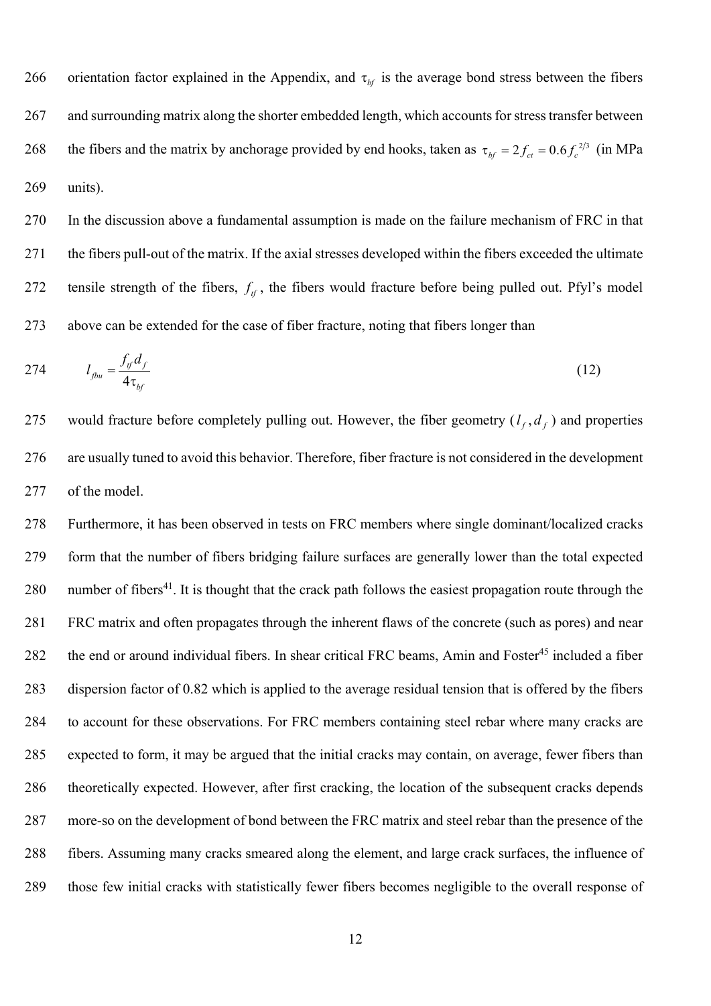266 orientation factor explained in the Appendix, and  $\tau_{bf}$  is the average bond stress between the fibers 267 and surrounding matrix along the shorter embedded length, which accounts for stress transfer between 268 the fibers and the matrix by anchorage provided by end hooks, taken as  $\tau_{bf} = 2 f_{ct} = 0.6 f_c^{2/3}$  (in MPa 269 units).

270 In the discussion above a fundamental assumption is made on the failure mechanism of FRC in that 271 the fibers pull-out of the matrix. If the axial stresses developed within the fibers exceeded the ultimate 272 tensile strength of the fibers,  $f_{\text{rf}}$ , the fibers would fracture before being pulled out. Pfyl's model 273 above can be extended for the case of fiber fracture, noting that fibers longer than

$$
274 \qquad l_{f_{bu}} = \frac{f_{tf}d_f}{4\tau_{bf}} \tag{12}
$$

275 would fracture before completely pulling out. However, the fiber geometry  $(l_f, d_f)$  and properties 276 are usually tuned to avoid this behavior. Therefore, fiber fracture is not considered in the development 277 of the model.

278 Furthermore, it has been observed in tests on FRC members where single dominant/localized cracks 279 form that the number of fibers bridging failure surfaces are generally lower than the total expected 280 . number of fibers<sup>41</sup>. It is thought that the crack path follows the easiest propagation route through the 281 FRC matrix and often propagates through the inherent flaws of the concrete (such as pores) and near 282 the end or around individual fibers. In shear critical FRC beams, Amin and Foster<sup>45</sup> included a fiber 283 dispersion factor of 0.82 which is applied to the average residual tension that is offered by the fibers 284 to account for these observations. For FRC members containing steel rebar where many cracks are 285 expected to form, it may be argued that the initial cracks may contain, on average, fewer fibers than 286 theoretically expected. However, after first cracking, the location of the subsequent cracks depends 287 more-so on the development of bond between the FRC matrix and steel rebar than the presence of the 288 fibers. Assuming many cracks smeared along the element, and large crack surfaces, the influence of 289 those few initial cracks with statistically fewer fibers becomes negligible to the overall response of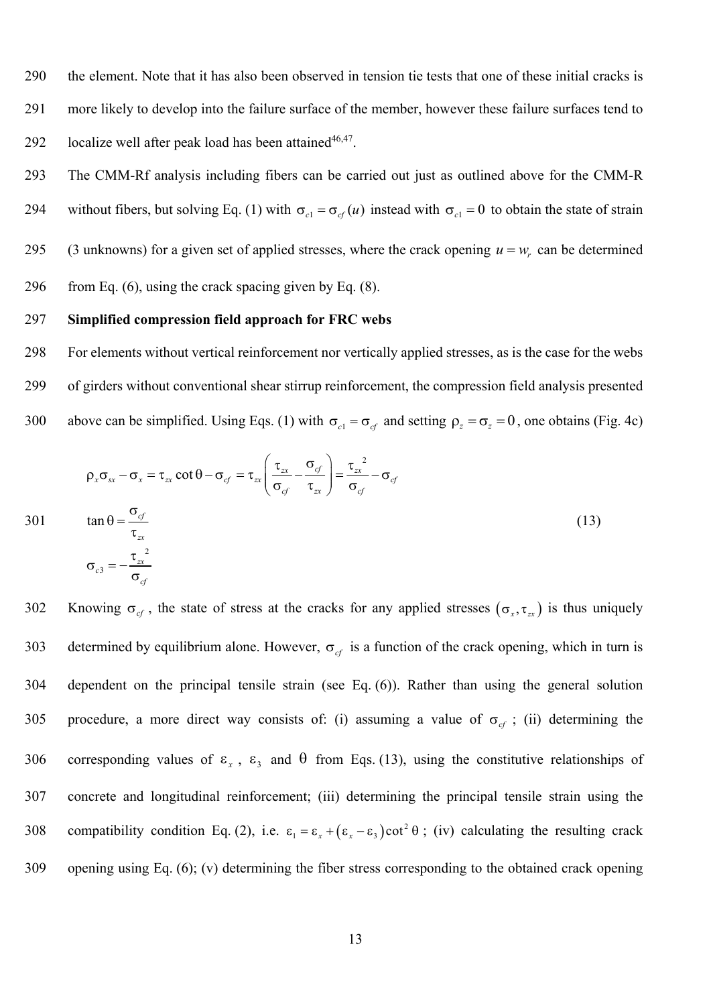290 the element. Note that it has also been observed in tension tie tests that one of these initial cracks is 291 more likely to develop into the failure surface of the member, however these failure surfaces tend to 292 localize well after peak load has been attained $46,47$ .

293 The CMM-Rf analysis including fibers can be carried out just as outlined above for the CMM-R 294 without fibers, but solving Eq. (1) with  $\sigma_{c_1} = \sigma_{c} (u)$  instead with  $\sigma_{c_1} = 0$  to obtain the state of strain (3 unknowns) for a given set of applied stresses, where the crack opening  $u = w_r$  can be determined 296 from Eq.  $(6)$ , using the crack spacing given by Eq.  $(8)$ .

#### 297 **Simplified compression field approach for FRC webs**

298 For elements without vertical reinforcement nor vertically applied stresses, as is the case for the webs 299 of girders without conventional shear stirrup reinforcement, the compression field analysis presented 300 above can be simplified. Using Eqs. (1) with  $\sigma_{c1} = \sigma_{cf}$  and setting  $\rho_z = \sigma_z = 0$ , one obtains (Fig. 4c)

$$
\rho_x \sigma_{xx} - \sigma_x = \tau_{zx} \cot \theta - \sigma_{cf} = \tau_{zx} \left( \frac{\tau_{zx}}{\sigma_{cf}} - \frac{\sigma_{cf}}{\tau_{zx}} \right) = \frac{\tau_{zx}^2}{\sigma_{cf}} - \sigma_{cf}
$$
\n
$$
\tan \theta = \frac{\sigma_{cf}}{\tau_{zx}}
$$
\n
$$
\sigma_{c3} = -\frac{\tau_{zx}^2}{\sigma_{cf}}
$$
\n(13)

302 Knowing  $\sigma_{cf}$ , the state of stress at the cracks for any applied stresses  $(\sigma_x, \tau_{zx})$  is thus uniquely 303 determined by equilibrium alone. However,  $\sigma_{cf}$  is a function of the crack opening, which in turn is 304 dependent on the principal tensile strain (see Eq. (6)). Rather than using the general solution 305 procedure, a more direct way consists of: (i) assuming a value of  $\sigma_{cf}$ ; (ii) determining the 306 corresponding values of  $\varepsilon_x$ ,  $\varepsilon_y$  and  $\theta$  from Eqs. (13), using the constitutive relationships of 307 concrete and longitudinal reinforcement; (iii) determining the principal tensile strain using the 308 compatibility condition Eq. (2), i.e.  $\varepsilon_1 = \varepsilon_x + (\varepsilon_x - \varepsilon_3)\cot^2 \theta$ ; (iv) calculating the resulting crack 309 opening using Eq. (6); (v) determining the fiber stress corresponding to the obtained crack opening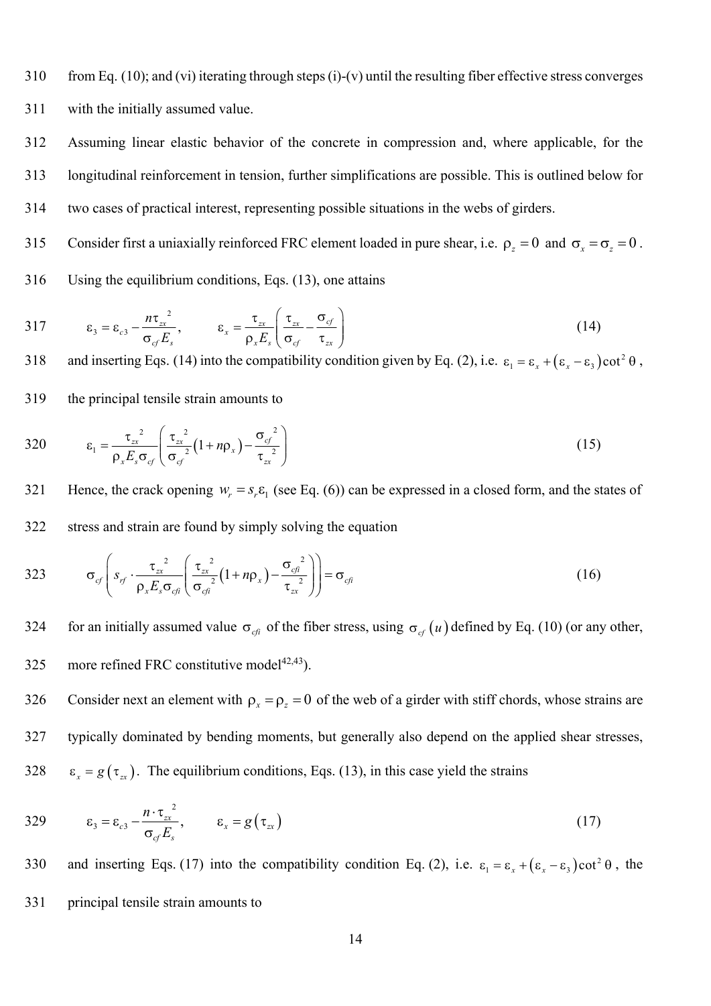310 from Eq. (10); and (vi) iterating through steps (i)-(v) until the resulting fiber effective stress converges

311 with the initially assumed value.

312 Assuming linear elastic behavior of the concrete in compression and, where applicable, for the 313 longitudinal reinforcement in tension, further simplifications are possible. This is outlined below for

314 two cases of practical interest, representing possible situations in the webs of girders.

Consider first a uniaxially reinforced FRC element loaded in pure shear, i.e.  $\rho_z = 0$  and  $\sigma_x = \sigma_z = 0$ .

316 Using the equilibrium conditions, Eqs. (13), one attains

317 
$$
\epsilon_3 = \epsilon_{c3} - \frac{n\tau_{xx}^2}{\sigma_{cf}E_s}, \qquad \epsilon_x = \frac{\tau_{xx}}{\rho_x E_s} \left( \frac{\tau_{xx}}{\sigma_{cf}} - \frac{\sigma_{cf}}{\tau_{xx}} \right)
$$
(14)

318 and inserting Eqs. (14) into the compatibility condition given by Eq. (2), i.e.  $\varepsilon_1 = \varepsilon_x + (\varepsilon_x - \varepsilon_3)\cot^2 \theta$ ,

319 the principal tensile strain amounts to

$$
320 \qquad \qquad \varepsilon_1 = \frac{{\tau_{xx}}^2}{\rho_x E_s \sigma_{cf}} \left( \frac{{\tau_{xx}}^2}{\sigma_{cf}^2} \left( 1 + n \rho_x \right) - \frac{{\sigma_{cf}}^2}{\tau_{zx}} \right) \tag{15}
$$

Hence, the crack opening  $w_r = s_r \varepsilon_1$  (see Eq. (6)) can be expressed in a closed form, and the states of 322 stress and strain are found by simply solving the equation

323 
$$
\sigma_{cf}\left(s_{rf}\cdot\frac{\tau_{zx}^{2}}{\rho_{x}E_{s}\sigma_{cf}}\left(\frac{\tau_{zx}^{2}}{\sigma_{cf}^{2}}(1+n\rho_{x})-\frac{\sigma_{cf}^{2}}{\tau_{zx}^{2}}\right)\right)=\sigma_{cf}
$$
(16)

for an initially assumed value  $\sigma_{\text{cf}}$  of the fiber stress, using  $\sigma_{\text{cf}}(u)$  defined by Eq. (10) (or any other, 325 more refined FRC constitutive model<sup> $42,43$ </sup>).

Consider next an element with  $\rho_x = \rho_z = 0$  of the web of a girder with stiff chords, whose strains are 327 typically dominated by bending moments, but generally also depend on the applied shear stresses, 328  $\varepsilon_x = g(\tau_x)$ . The equilibrium conditions, Eqs. (13), in this case yield the strains

329 
$$
\varepsilon_3 = \varepsilon_{c3} - \frac{n \cdot {\tau_{zx}}^2}{\sigma_{cf} E_s}, \qquad \varepsilon_x = g(\tau_{zx})
$$
 (17)

330 and inserting Eqs. (17) into the compatibility condition Eq. (2), i.e.  $\varepsilon_1 = \varepsilon_x + (\varepsilon_x - \varepsilon_3)\cot^2 \theta$ , the 331 principal tensile strain amounts to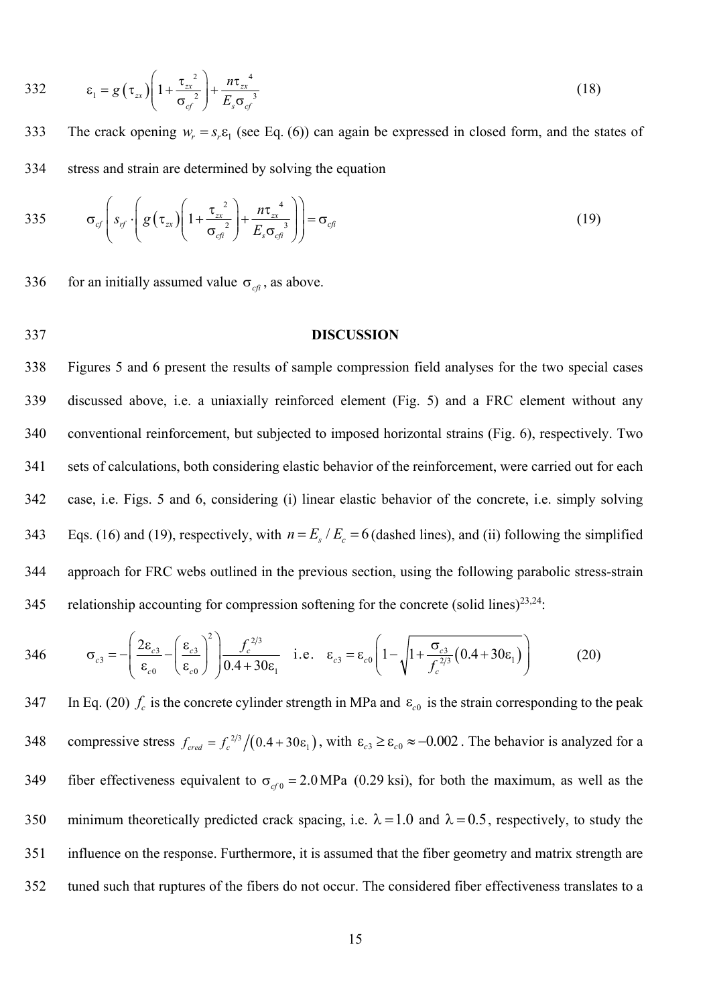332 
$$
\varepsilon_1 = g(\tau_{zx}) \left( 1 + \frac{\tau_{zx}^2}{\sigma_{cf}^2} \right) + \frac{n\tau_{zx}^4}{E_s \sigma_{cf}^3}
$$
 (18)

The crack opening  $w_r = s_r \varepsilon_1$  (see Eq. (6)) can again be expressed in closed form, and the states of 334 stress and strain are determined by solving the equation

335 
$$
\sigma_{cf}\left(s_{rf}\cdot\left(g\left(\tau_{zx}\right)\left(1+\frac{\tau_{zx}^{2}}{\sigma_{cf}^{2}}\right)+\frac{n\tau_{zx}^{4}}{E_{s}\sigma_{cf}^{3}}\right)\right)=\sigma_{cf}
$$
(19)

336 for an initially assumed value  $\sigma_{cf}$ , as above.

337 **DISCUSSION** 

338 Figures 5 and 6 present the results of sample compression field analyses for the two special cases 339 discussed above, i.e. a uniaxially reinforced element (Fig. 5) and a FRC element without any 340 conventional reinforcement, but subjected to imposed horizontal strains (Fig. 6), respectively. Two 341 sets of calculations, both considering elastic behavior of the reinforcement, were carried out for each 342 case, i.e. Figs. 5 and 6, considering (i) linear elastic behavior of the concrete, i.e. simply solving 343 Eqs. (16) and (19), respectively, with  $n = E_s / E_c = 6$  (dashed lines), and (ii) following the simplified 344 approach for FRC webs outlined in the previous section, using the following parabolic stress-strain 345 relationship accounting for compression softening for the concrete (solid lines)<sup>23,24</sup>:

$$
346 \qquad \sigma_{c3} = -\left(\frac{2\epsilon_{c3}}{\epsilon_{c0}} - \left(\frac{\epsilon_{c3}}{\epsilon_{c0}}\right)^2\right) \frac{f_c^{2/3}}{0.4 + 30\epsilon_1} \quad \text{i.e.} \quad \epsilon_{c3} = \epsilon_{c0} \left(1 - \sqrt{1 + \frac{\sigma_{c3}}{f_c^{2/3}} \left(0.4 + 30\epsilon_1\right)}\right) \tag{20}
$$

347 In Eq. (20)  $f_c$  is the concrete cylinder strength in MPa and  $\varepsilon_{c0}$  is the strain corresponding to the peak 348 compressive stress  $f_{\text{cred}} = f_c^{2/3}/(0.4 + 30 \epsilon_1)$ , with  $\epsilon_{c3} \ge \epsilon_{c0} \approx -0.002$ . The behavior is analyzed for a 349 fiber effectiveness equivalent to  $\sigma_{cf0} = 2.0 \text{ MPa}$  (0.29 ksi), for both the maximum, as well as the 350 minimum theoretically predicted crack spacing, i.e.  $\lambda = 1.0$  and  $\lambda = 0.5$ , respectively, to study the 351 influence on the response. Furthermore, it is assumed that the fiber geometry and matrix strength are 352 tuned such that ruptures of the fibers do not occur. The considered fiber effectiveness translates to a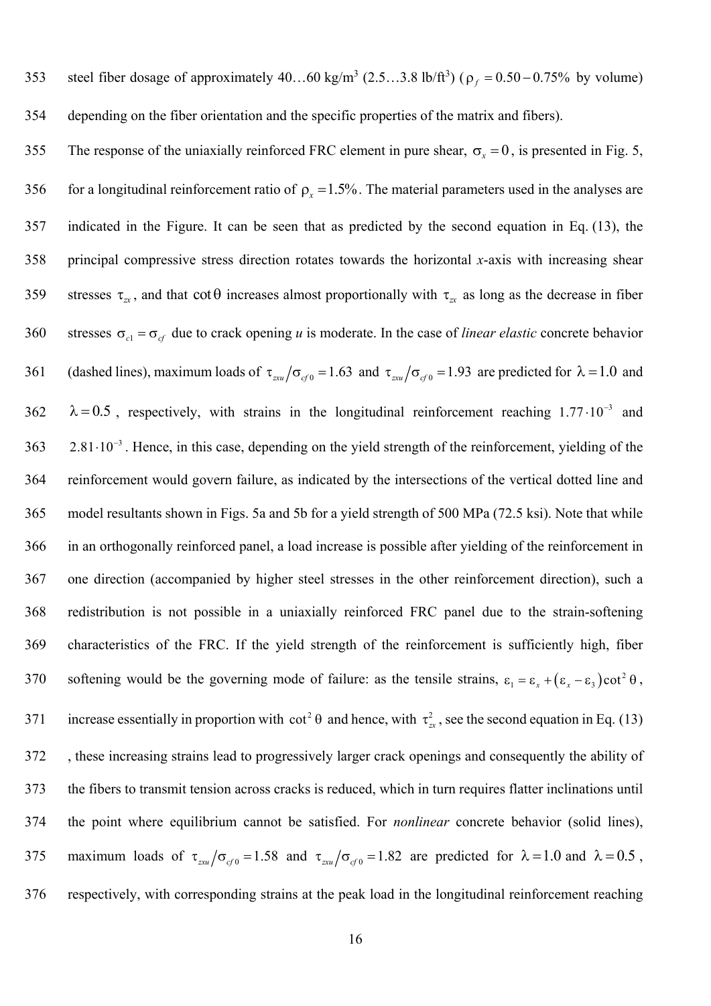353 steel fiber dosage of approximately  $40...60$  kg/m<sup>3</sup>  $(2.5...3.8 \text{ lb/ft}^3)$  ( $\rho_f = 0.50 - 0.75\%$  by volume) 354 depending on the fiber orientation and the specific properties of the matrix and fibers).

355 The response of the uniaxially reinforced FRC element in pure shear,  $\sigma_r = 0$ , is presented in Fig. 5, 356 for a longitudinal reinforcement ratio of  $\rho_x = 1.5\%$ . The material parameters used in the analyses are 357 indicated in the Figure. It can be seen that as predicted by the second equation in Eq. (13), the 358 principal compressive stress direction rotates towards the horizontal *x*-axis with increasing shear 359 stresses  $\tau_{\alpha}$ , and that cot  $\theta$  increases almost proportionally with  $\tau_{\alpha}$  as long as the decrease in fiber 360 stresses  $\sigma_{c} = \sigma_{cf}$  due to crack opening *u* is moderate. In the case of *linear elastic* concrete behavior 361 (dashed lines), maximum loads of  $\tau_{\text{av}}/\sigma_{\text{gf}} = 1.63$  and  $\tau_{\text{av}}/\sigma_{\text{gf}} = 1.93$  are predicted for  $\lambda = 1.0$  and  $0.5$ , respectively, with strains in the longitudinal reinforcement reaching  $1.77 \cdot 10^{-3}$  and  $363$   $2.81 \cdot 10^{-3}$ . Hence, in this case, depending on the yield strength of the reinforcement, yielding of the 364 reinforcement would govern failure, as indicated by the intersections of the vertical dotted line and 365 model resultants shown in Figs. 5a and 5b for a yield strength of 500 MPa (72.5 ksi). Note that while 366 in an orthogonally reinforced panel, a load increase is possible after yielding of the reinforcement in 367 one direction (accompanied by higher steel stresses in the other reinforcement direction), such a 368 redistribution is not possible in a uniaxially reinforced FRC panel due to the strain-softening 369 characteristics of the FRC. If the yield strength of the reinforcement is sufficiently high, fiber 370 softening would be the governing mode of failure: as the tensile strains,  $\varepsilon_1 = \varepsilon_x + (\varepsilon_x - \varepsilon_3)\cot^2 \theta$ , 371 increase essentially in proportion with  $\cot^2 \theta$  and hence, with  $\tau_{zx}^2$ , see the second equation in Eq. (13) 372 , these increasing strains lead to progressively larger crack openings and consequently the ability of 373 the fibers to transmit tension across cracks is reduced, which in turn requires flatter inclinations until 374 the point where equilibrium cannot be satisfied. For *nonlinear* concrete behavior (solid lines), 375 maximum loads of  $\tau_{\text{av}}/\sigma_{\text{cf}} = 1.58$  and  $\tau_{\text{av}}/\sigma_{\text{cf}} = 1.82$  are predicted for  $\lambda = 1.0$  and  $\lambda = 0.5$ , 376 respectively, with corresponding strains at the peak load in the longitudinal reinforcement reaching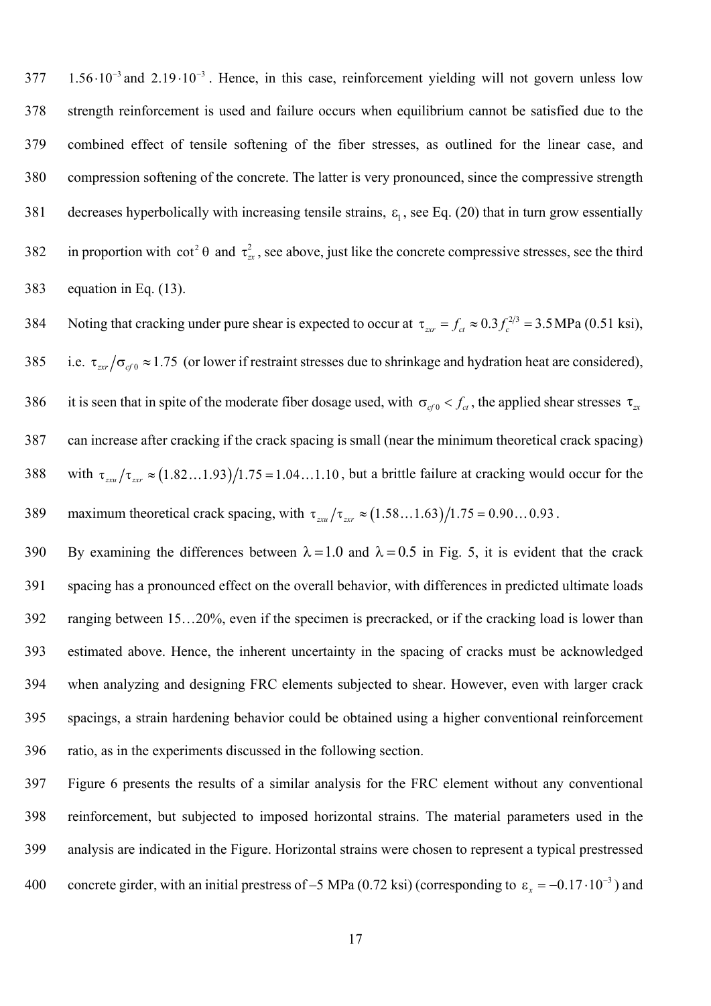$377$  1.56 $\cdot 10^{-3}$  and  $2.19 \cdot 10^{-3}$ . Hence, in this case, reinforcement vielding will not govern unless low 378 strength reinforcement is used and failure occurs when equilibrium cannot be satisfied due to the 379 combined effect of tensile softening of the fiber stresses, as outlined for the linear case, and 380 compression softening of the concrete. The latter is very pronounced, since the compressive strength 381 decreases hyperbolically with increasing tensile strains,  $\varepsilon_1$ , see Eq. (20) that in turn grow essentially 382 in proportion with  $\cot^2 \theta$  and  $\tau_{zx}^2$ , see above, just like the concrete compressive stresses, see the third 383 equation in Eq. (13).

384 Noting that cracking under pure shear is expected to occur at  $\tau_{zcr} = f_{ct} \approx 0.3 f_c^{2/3} = 3.5 \text{ MPa} (0.51 \text{ ks}i),$ 385 i.e.  $\tau_{zrr}/\sigma_{cf0} \approx 1.75$  (or lower if restraint stresses due to shrinkage and hydration heat are considered), 386 it is seen that in spite of the moderate fiber dosage used, with  $\sigma_{q0} < f_{ct}$ , the applied shear stresses  $\tau_{\alpha}$ 387 can increase after cracking if the crack spacing is small (near the minimum theoretical crack spacing) 388 with  $\tau_{zxy}/\tau_{zxy} \approx (1.82 \dots 1.93) / 1.75 = 1.04 \dots 1.10$ , but a brittle failure at cracking would occur for the 389 maximum theoretical crack spacing, with  $\tau_{xxu}/\tau_{zxv} \approx (1.58...1.63)/1.75 = 0.90...0.93$ .

390 By examining the differences between  $\lambda = 1.0$  and  $\lambda = 0.5$  in Fig. 5, it is evident that the crack 391 spacing has a pronounced effect on the overall behavior, with differences in predicted ultimate loads 392 ranging between 15…20%, even if the specimen is precracked, or if the cracking load is lower than 393 estimated above. Hence, the inherent uncertainty in the spacing of cracks must be acknowledged 394 when analyzing and designing FRC elements subjected to shear. However, even with larger crack 395 spacings, a strain hardening behavior could be obtained using a higher conventional reinforcement 396 ratio, as in the experiments discussed in the following section.

397 Figure 6 presents the results of a similar analysis for the FRC element without any conventional 398 reinforcement, but subjected to imposed horizontal strains. The material parameters used in the 399 analysis are indicated in the Figure. Horizontal strains were chosen to represent a typical prestressed 400 concrete girder, with an initial prestress of –5 MPa (0.72 ksi) (corresponding to  $\varepsilon_x = -0.17 \cdot 10^{-3}$ ) and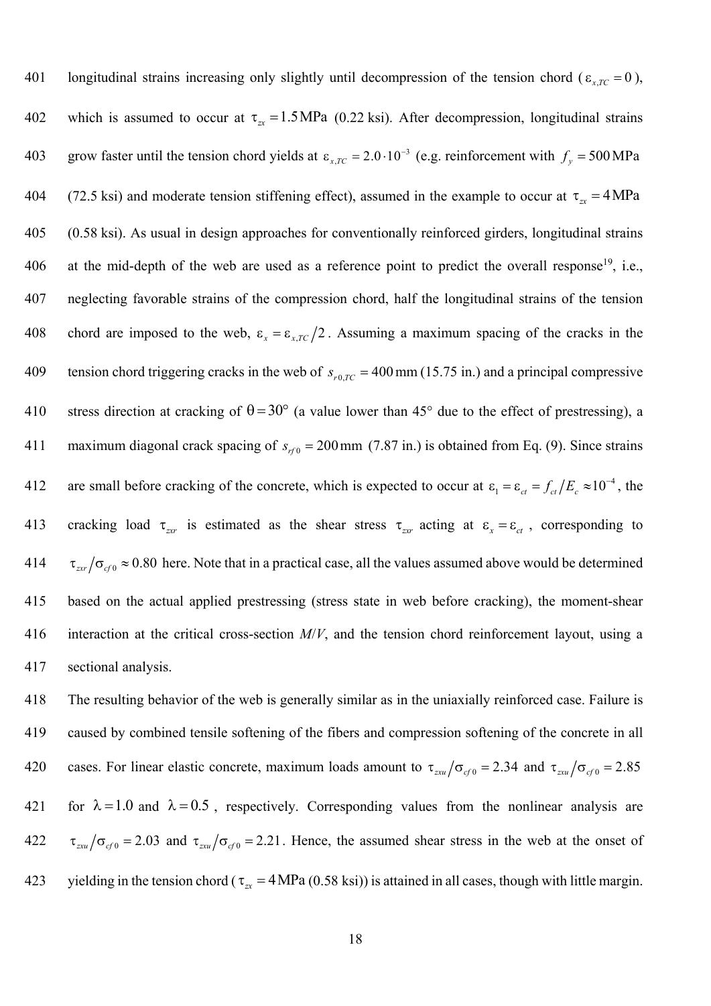101 longitudinal strains increasing only slightly until decompression of the tension chord ( $\epsilon_{x,TC} = 0$ ), 402 which is assumed to occur at  $\tau_{zx} = 1.5 \text{ MPa}$  (0.22 ksi). After decompression, longitudinal strains 403 grow faster until the tension chord yields at  $\varepsilon_{x,TC} = 2.0 \cdot 10^{-3}$  (e.g. reinforcement with  $f_y = 500 \text{ MPa}$ 404 (72.5 ksi) and moderate tension stiffening effect), assumed in the example to occur at  $\tau_{zx} = 4 \text{ MPa}$ 405 (0.58 ksi). As usual in design approaches for conventionally reinforced girders, longitudinal strains 406 at the mid-depth of the web are used as a reference point to predict the overall response<sup>19</sup>, i.e., 407 neglecting favorable strains of the compression chord, half the longitudinal strains of the tension 408 chord are imposed to the web,  $\varepsilon_x = \varepsilon_{x,TC}/2$ . Assuming a maximum spacing of the cracks in the tension chord triggering cracks in the web of  $s_{r0,TC} = 400$  mm (15.75 in.) and a principal compressive 410 stress direction at cracking of  $\theta = 30^{\circ}$  (a value lower than 45° due to the effect of prestressing), a 411 maximum diagonal crack spacing of  $s_{r} = 200$  mm (7.87 in.) is obtained from Eq. (9). Since strains 412 are small before cracking of the concrete, which is expected to occur at  $\varepsilon_1 = \varepsilon_{ct} = f_{ct}/E_c \approx 10^{-4}$ , the 413 cracking load  $\tau_{zrr}$  is estimated as the shear stress  $\tau_{zrr}$  acting at  $\varepsilon_x = \varepsilon_{ct}$ , corresponding to 414  $\tau_{zrr}/\sigma_{\rm c0} \approx 0.80$  here. Note that in a practical case, all the values assumed above would be determined 415 based on the actual applied prestressing (stress state in web before cracking), the moment-shear 416 interaction at the critical cross-section *M*/*V*, and the tension chord reinforcement layout, using a 417 sectional analysis.

418 The resulting behavior of the web is generally similar as in the uniaxially reinforced case. Failure is 419 caused by combined tensile softening of the fibers and compression softening of the concrete in all 420 cases. For linear elastic concrete, maximum loads amount to  $\tau_{\text{av}}/\sigma_{\text{c}f0} = 2.34$  and  $\tau_{\text{av}}/\sigma_{\text{c}f0} = 2.85$ 421 for  $\lambda = 1.0$  and  $\lambda = 0.5$ , respectively. Corresponding values from the nonlinear analysis are  $\tau_{\tau}$   $\sigma_{\tau}$   $\sigma_{\tau}$  = 2.03 and  $\tau_{\tau}$   $\sigma_{\tau}$  = 2.21. Hence, the assumed shear stress in the web at the onset of 423 yielding in the tension chord ( $\tau_{\alpha}$  = 4 MPa (0.58 ksi)) is attained in all cases, though with little margin.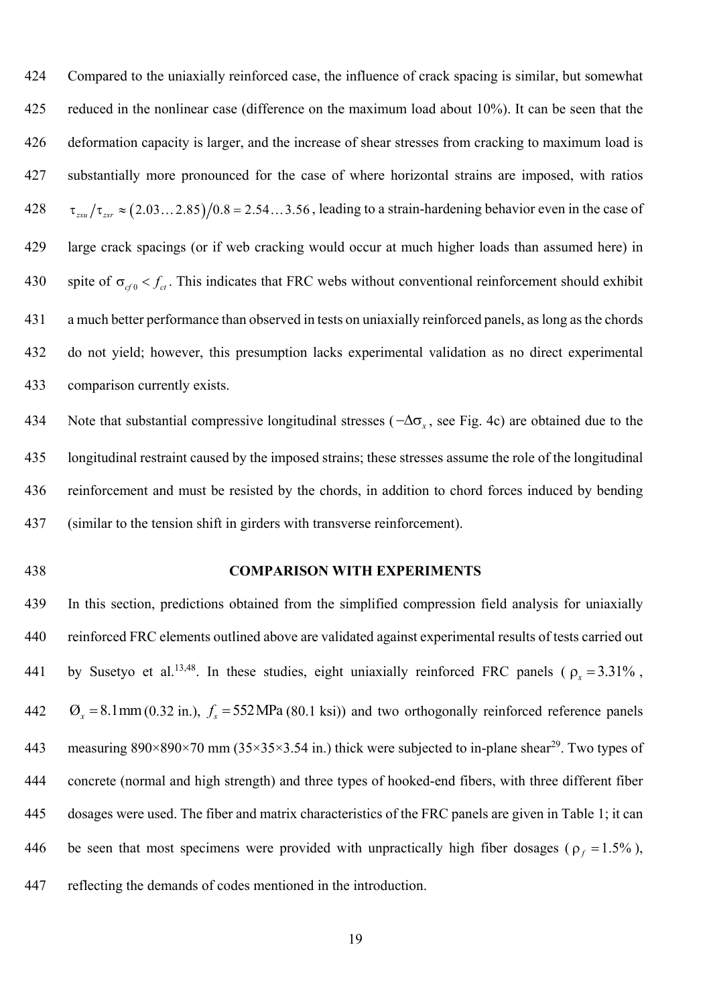424 Compared to the uniaxially reinforced case, the influence of crack spacing is similar, but somewhat 425 reduced in the nonlinear case (difference on the maximum load about 10%). It can be seen that the 426 deformation capacity is larger, and the increase of shear stresses from cracking to maximum load is 427 substantially more pronounced for the case of where horizontal strains are imposed, with ratios  $428$   $\tau_{zxx}/\tau_{zxx} \approx (2.03...2.85)/0.8 = 2.54...3.56$ , leading to a strain-hardening behavior even in the case of 429 large crack spacings (or if web cracking would occur at much higher loads than assumed here) in 430 spite of  $\sigma_{cf} < f_{cf}$ . This indicates that FRC webs without conventional reinforcement should exhibit 431 a much better performance than observed in tests on uniaxially reinforced panels, as long as the chords 432 do not yield; however, this presumption lacks experimental validation as no direct experimental 433 comparison currently exists.

About 134 Note that substantial compressive longitudinal stresses  $(-\Delta \sigma_x)$ , see Fig. 4c) are obtained due to the 435 longitudinal restraint caused by the imposed strains; these stresses assume the role of the longitudinal 436 reinforcement and must be resisted by the chords, in addition to chord forces induced by bending 437 (similar to the tension shift in girders with transverse reinforcement).

# 438 **COMPARISON WITH EXPERIMENTS**

439 In this section, predictions obtained from the simplified compression field analysis for uniaxially 440 reinforced FRC elements outlined above are validated against experimental results of tests carried out 441 by Susetyo et al.<sup>13,48</sup>. In these studies, eight uniaxially reinforced FRC panels ( $\rho_x = 3.31\%$ , 442  $\sigma_x = 8.1$ mm (0.32 in.),  $f_s = 552$  MPa (80.1 ksi)) and two orthogonally reinforced reference panels 443 measuring  $890 \times 890 \times 70$  mm ( $35 \times 35 \times 3.54$  in.) thick were subjected to in-plane shear<sup>29</sup>. Two types of 444 concrete (normal and high strength) and three types of hooked-end fibers, with three different fiber 445 dosages were used. The fiber and matrix characteristics of the FRC panels are given in Table 1; it can 446 be seen that most specimens were provided with unpractically high fiber dosages ( $\rho_f = 1.5\%$ ), 447 reflecting the demands of codes mentioned in the introduction.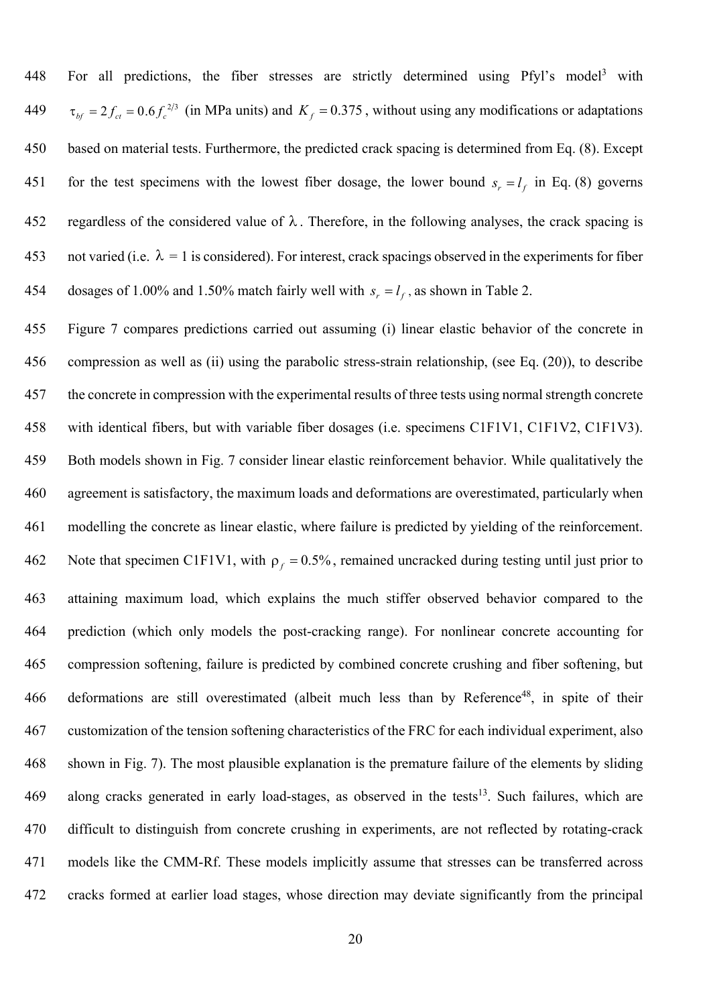448 For all predictions, the fiber stresses are strictly determined using Pfyl's model<sup>3</sup> with 249  $\tau_{bf} = 2 f_{ct} = 0.6 f_c^{2/3}$  (in MPa units) and  $K_f = 0.375$ , without using any modifications or adaptations 450 based on material tests. Furthermore, the predicted crack spacing is determined from Eq. (8). Except 451 for the test specimens with the lowest fiber dosage, the lower bound  $s_r = l_f$  in Eq. (8) governs 452 regardless of the considered value of  $\lambda$ . Therefore, in the following analyses, the crack spacing is 453 not varied (i.e.  $\lambda = 1$  is considered). For interest, crack spacings observed in the experiments for fiber 454 dosages of 1.00% and 1.50% match fairly well with  $s_r = l_f$ , as shown in Table 2.

455 Figure 7 compares predictions carried out assuming (i) linear elastic behavior of the concrete in 456 compression as well as (ii) using the parabolic stress-strain relationship, (see Eq. (20)), to describe 457 the concrete in compression with the experimental results of three tests using normal strength concrete 458 with identical fibers, but with variable fiber dosages (i.e. specimens C1F1V1, C1F1V2, C1F1V3). 459 Both models shown in Fig. 7 consider linear elastic reinforcement behavior. While qualitatively the 460 agreement is satisfactory, the maximum loads and deformations are overestimated, particularly when 461 modelling the concrete as linear elastic, where failure is predicted by yielding of the reinforcement. 462 Note that specimen C1F1V1, with  $\rho_f = 0.5\%$ , remained uncracked during testing until just prior to 463 attaining maximum load, which explains the much stiffer observed behavior compared to the 464 prediction (which only models the post-cracking range). For nonlinear concrete accounting for 465 compression softening, failure is predicted by combined concrete crushing and fiber softening, but 466 deformations are still overestimated (albeit much less than by Reference<sup>48</sup>, in spite of their 467 customization of the tension softening characteristics of the FRC for each individual experiment, also 468 shown in Fig. 7). The most plausible explanation is the premature failure of the elements by sliding  $469$  along cracks generated in early load-stages, as observed in the tests<sup>13</sup>. Such failures, which are 470 difficult to distinguish from concrete crushing in experiments, are not reflected by rotating-crack 471 models like the CMM-Rf. These models implicitly assume that stresses can be transferred across 472 cracks formed at earlier load stages, whose direction may deviate significantly from the principal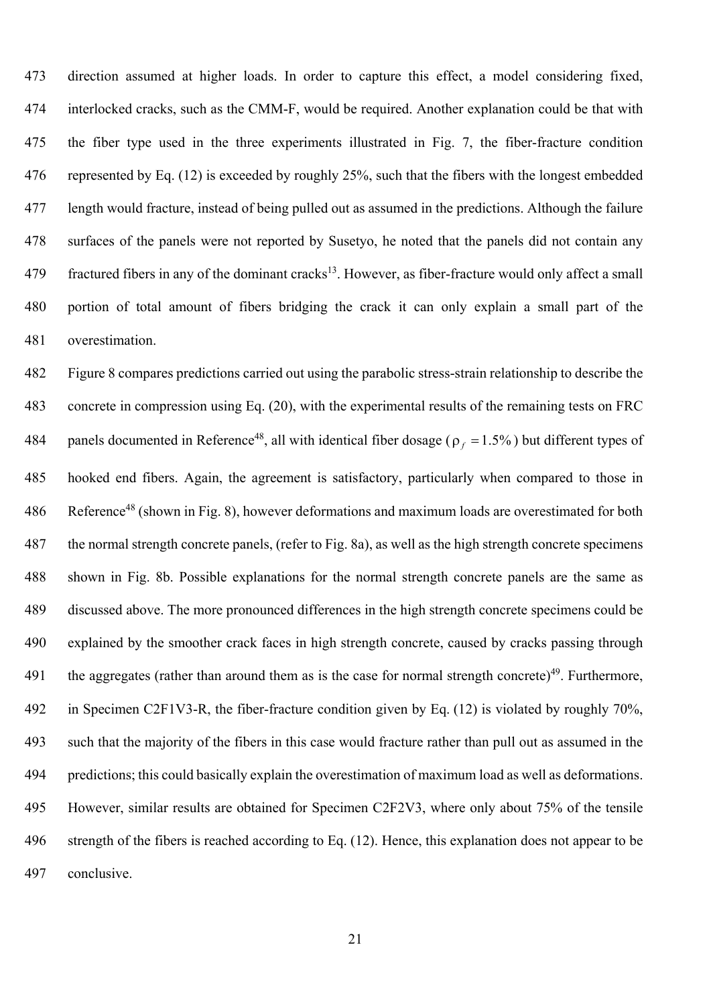473 direction assumed at higher loads. In order to capture this effect, a model considering fixed, 474 interlocked cracks, such as the CMM-F, would be required. Another explanation could be that with 475 the fiber type used in the three experiments illustrated in Fig. 7, the fiber-fracture condition 476 represented by Eq. (12) is exceeded by roughly 25%, such that the fibers with the longest embedded 477 length would fracture, instead of being pulled out as assumed in the predictions. Although the failure 478 surfaces of the panels were not reported by Susetyo, he noted that the panels did not contain any 479 fractured fibers in any of the dominant cracks<sup>13</sup>. However, as fiber-fracture would only affect a small 480 portion of total amount of fibers bridging the crack it can only explain a small part of the 481 overestimation.

482 Figure 8 compares predictions carried out using the parabolic stress-strain relationship to describe the 483 concrete in compression using Eq. (20), with the experimental results of the remaining tests on FRC 484 panels documented in Reference<sup>48</sup>, all with identical fiber dosage ( $\rho_f = 1.5\%$ ) but different types of 485 hooked end fibers. Again, the agreement is satisfactory, particularly when compared to those in 486 Reference<sup>48</sup> (shown in Fig. 8), however deformations and maximum loads are overestimated for both 487 the normal strength concrete panels, (refer to Fig. 8a), as well as the high strength concrete specimens 488 shown in Fig. 8b. Possible explanations for the normal strength concrete panels are the same as 489 discussed above. The more pronounced differences in the high strength concrete specimens could be 490 explained by the smoother crack faces in high strength concrete, caused by cracks passing through 491 the aggregates (rather than around them as is the case for normal strength concrete)<sup>49</sup>. Furthermore, 492 in Specimen C2F1V3-R, the fiber-fracture condition given by Eq. (12) is violated by roughly 70%, 493 such that the majority of the fibers in this case would fracture rather than pull out as assumed in the 494 predictions; this could basically explain the overestimation of maximum load as well as deformations. 495 However, similar results are obtained for Specimen C2F2V3, where only about 75% of the tensile 496 strength of the fibers is reached according to Eq. (12). Hence, this explanation does not appear to be 497 conclusive.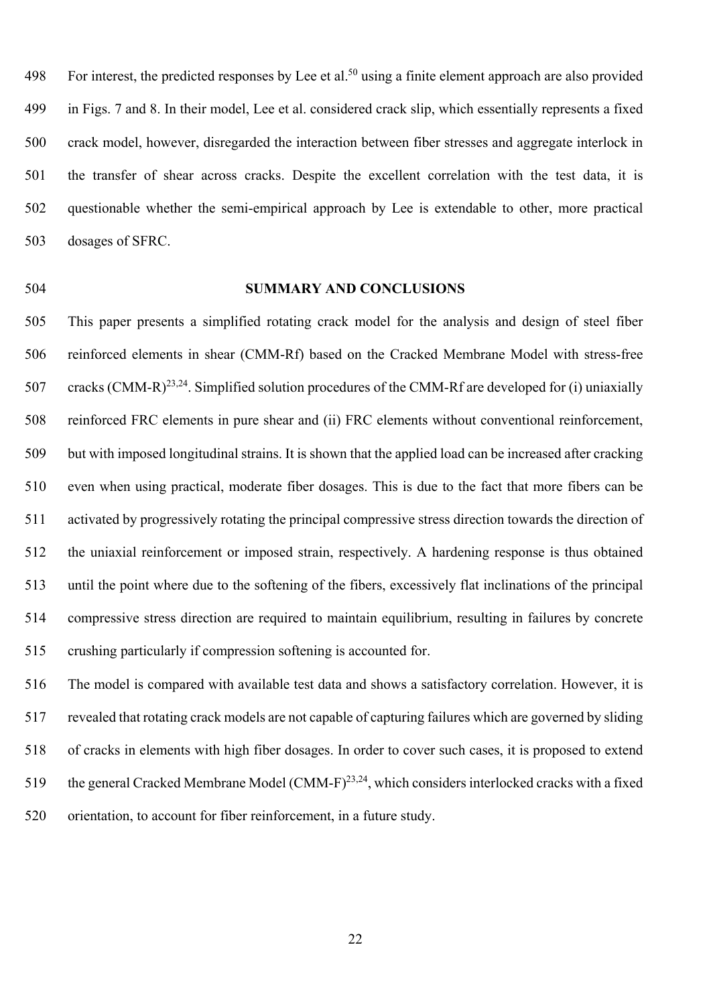498 For interest, the predicted responses by Lee et al.<sup>50</sup> using a finite element approach are also provided 499 in Figs. 7 and 8. In their model, Lee et al. considered crack slip, which essentially represents a fixed 500 crack model, however, disregarded the interaction between fiber stresses and aggregate interlock in 501 the transfer of shear across cracks. Despite the excellent correlation with the test data, it is 502 questionable whether the semi-empirical approach by Lee is extendable to other, more practical 503 dosages of SFRC.

#### 504 **SUMMARY AND CONCLUSIONS**

505 This paper presents a simplified rotating crack model for the analysis and design of steel fiber 506 reinforced elements in shear (CMM-Rf) based on the Cracked Membrane Model with stress-free 507 cracks  $(CMM-R)^{23,24}$ . Simplified solution procedures of the CMM-Rf are developed for (i) uniaxially 508 reinforced FRC elements in pure shear and (ii) FRC elements without conventional reinforcement, 509 but with imposed longitudinal strains. It is shown that the applied load can be increased after cracking 510 even when using practical, moderate fiber dosages. This is due to the fact that more fibers can be 511 activated by progressively rotating the principal compressive stress direction towards the direction of 512 the uniaxial reinforcement or imposed strain, respectively. A hardening response is thus obtained 513 until the point where due to the softening of the fibers, excessively flat inclinations of the principal 514 compressive stress direction are required to maintain equilibrium, resulting in failures by concrete 515 crushing particularly if compression softening is accounted for.

516 The model is compared with available test data and shows a satisfactory correlation. However, it is 517 revealed that rotating crack models are not capable of capturing failures which are governed by sliding 518 of cracks in elements with high fiber dosages. In order to cover such cases, it is proposed to extend 519 the general Cracked Membrane Model (CMM-F)<sup>23,24</sup>, which considers interlocked cracks with a fixed 520 orientation, to account for fiber reinforcement, in a future study.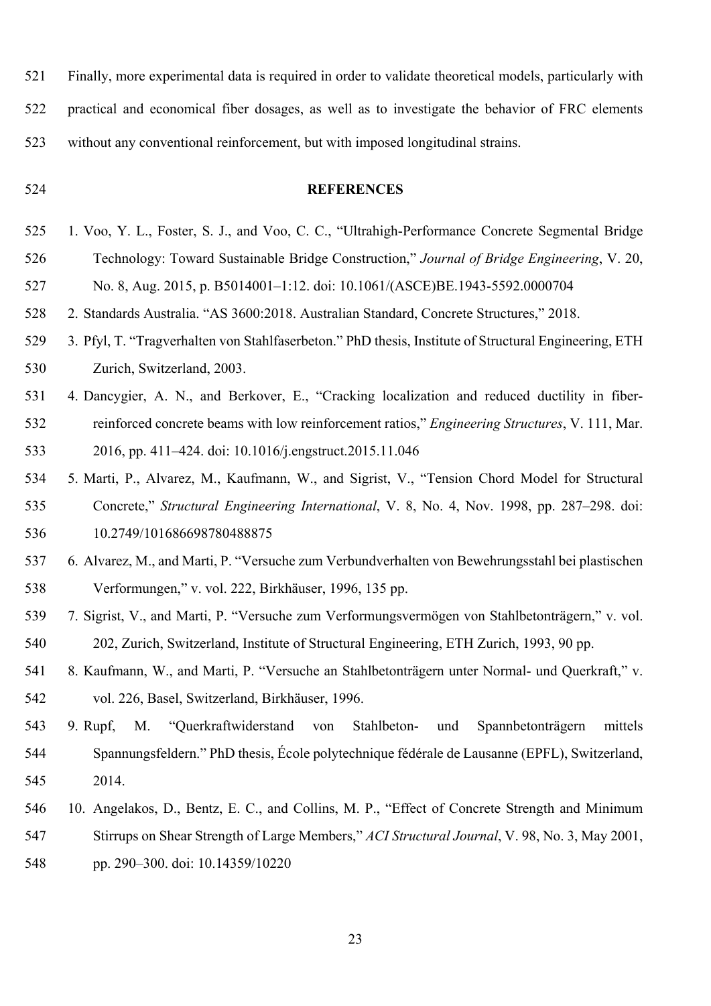- 521 Finally, more experimental data is required in order to validate theoretical models, particularly with 522 practical and economical fiber dosages, as well as to investigate the behavior of FRC elements 523 without any conventional reinforcement, but with imposed longitudinal strains.
- 

# 524 **REFERENCES**

- 525 1. Voo, Y. L., Foster, S. J., and Voo, C. C., "Ultrahigh-Performance Concrete Segmental Bridge 526 Technology: Toward Sustainable Bridge Construction," *Journal of Bridge Engineering*, V. 20, 527 No. 8, Aug. 2015, p. B5014001–1:12. doi: 10.1061/(ASCE)BE.1943-5592.0000704
- 528 2. Standards Australia. "AS 3600:2018. Australian Standard, Concrete Structures," 2018.
- 529 3. Pfyl, T. "Tragverhalten von Stahlfaserbeton." PhD thesis, Institute of Structural Engineering, ETH 530 Zurich, Switzerland, 2003.
- 531 4. Dancygier, A. N., and Berkover, E., "Cracking localization and reduced ductility in fiber-532 reinforced concrete beams with low reinforcement ratios," *Engineering Structures*, V. 111, Mar. 533 2016, pp. 411–424. doi: 10.1016/j.engstruct.2015.11.046
- 534 5. Marti, P., Alvarez, M., Kaufmann, W., and Sigrist, V., "Tension Chord Model for Structural 535 Concrete," *Structural Engineering International*, V. 8, No. 4, Nov. 1998, pp. 287–298. doi: 536 10.2749/101686698780488875
- 537 6. Alvarez, M., and Marti, P. "Versuche zum Verbundverhalten von Bewehrungsstahl bei plastischen 538 Verformungen," v. vol. 222, Birkhäuser, 1996, 135 pp.
- 539 7. Sigrist, V., and Marti, P. "Versuche zum Verformungsvermögen von Stahlbetonträgern," v. vol. 540 202, Zurich, Switzerland, Institute of Structural Engineering, ETH Zurich, 1993, 90 pp.
- 541 8. Kaufmann, W., and Marti, P. "Versuche an Stahlbetonträgern unter Normal- und Querkraft," v. 542 vol. 226, Basel, Switzerland, Birkhäuser, 1996.
- 543 9. Rupf, M. "Querkraftwiderstand von Stahlbeton- und Spannbetonträgern mittels 544 Spannungsfeldern." PhD thesis, École polytechnique fédérale de Lausanne (EPFL), Switzerland, 545 2014.
- 546 10. Angelakos, D., Bentz, E. C., and Collins, M. P., "Effect of Concrete Strength and Minimum 547 Stirrups on Shear Strength of Large Members," *ACI Structural Journal*, V. 98, No. 3, May 2001,
- 548 pp. 290–300. doi: 10.14359/10220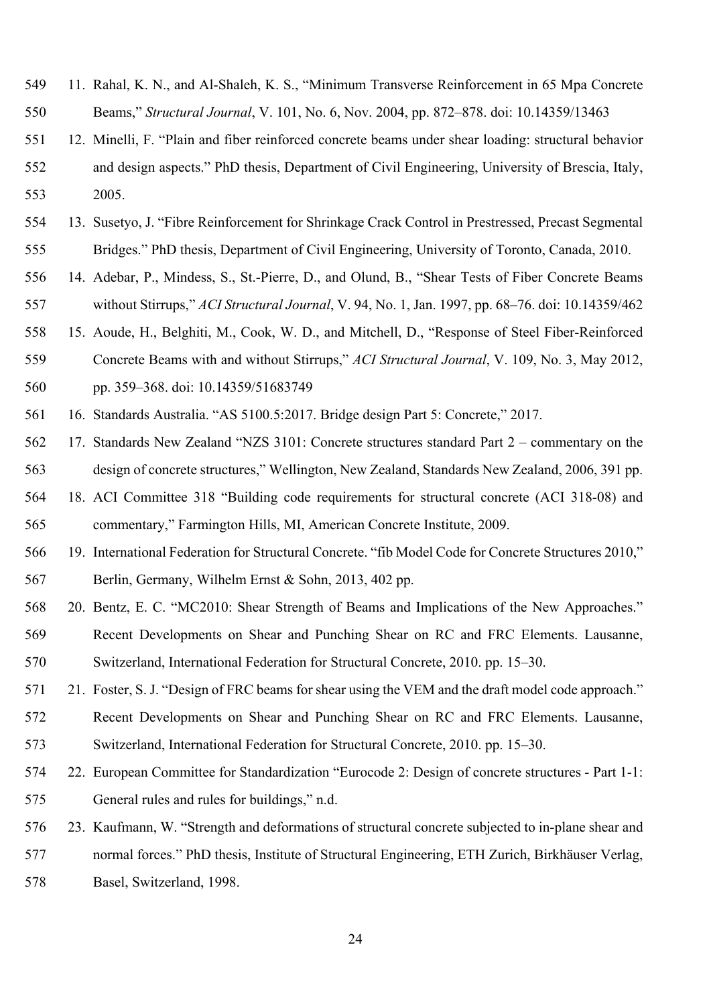- 549 11. Rahal, K. N., and Al-Shaleh, K. S., "Minimum Transverse Reinforcement in 65 Mpa Concrete 550 Beams," *Structural Journal*, V. 101, No. 6, Nov. 2004, pp. 872–878. doi: 10.14359/13463
- 551 12. Minelli, F. "Plain and fiber reinforced concrete beams under shear loading: structural behavior 552 and design aspects." PhD thesis, Department of Civil Engineering, University of Brescia, Italy, 553 2005.
- 554 13. Susetyo, J. "Fibre Reinforcement for Shrinkage Crack Control in Prestressed, Precast Segmental 555 Bridges." PhD thesis, Department of Civil Engineering, University of Toronto, Canada, 2010.
- 556 14. Adebar, P., Mindess, S., St.-Pierre, D., and Olund, B., "Shear Tests of Fiber Concrete Beams 557 without Stirrups," *ACI Structural Journal*, V. 94, No. 1, Jan. 1997, pp. 68–76. doi: 10.14359/462
- 558 15. Aoude, H., Belghiti, M., Cook, W. D., and Mitchell, D., "Response of Steel Fiber-Reinforced
- 559 Concrete Beams with and without Stirrups," *ACI Structural Journal*, V. 109, No. 3, May 2012, 560 pp. 359–368. doi: 10.14359/51683749
- 561 16. Standards Australia. "AS 5100.5:2017. Bridge design Part 5: Concrete," 2017.
- 562 17. Standards New Zealand "NZS 3101: Concrete structures standard Part 2 commentary on the 563 design of concrete structures," Wellington, New Zealand, Standards New Zealand, 2006, 391 pp.
- 564 18. ACI Committee 318 "Building code requirements for structural concrete (ACI 318-08) and 565 commentary," Farmington Hills, MI, American Concrete Institute, 2009.
- 566 19. International Federation for Structural Concrete. "fib Model Code for Concrete Structures 2010," 567 Berlin, Germany, Wilhelm Ernst & Sohn, 2013, 402 pp.
- 568 20. Bentz, E. C. "MC2010: Shear Strength of Beams and Implications of the New Approaches."
- 569 Recent Developments on Shear and Punching Shear on RC and FRC Elements. Lausanne, 570 Switzerland, International Federation for Structural Concrete, 2010. pp. 15–30.
- 571 21. Foster, S. J. "Design of FRC beams for shear using the VEM and the draft model code approach."
- 572 Recent Developments on Shear and Punching Shear on RC and FRC Elements. Lausanne, 573 Switzerland, International Federation for Structural Concrete, 2010. pp. 15–30.
- 574 22. European Committee for Standardization "Eurocode 2: Design of concrete structures Part 1-1: 575 General rules and rules for buildings," n.d.
- 576 23. Kaufmann, W. "Strength and deformations of structural concrete subjected to in-plane shear and
- 577 normal forces." PhD thesis, Institute of Structural Engineering, ETH Zurich, Birkhäuser Verlag,
- 578 Basel, Switzerland, 1998.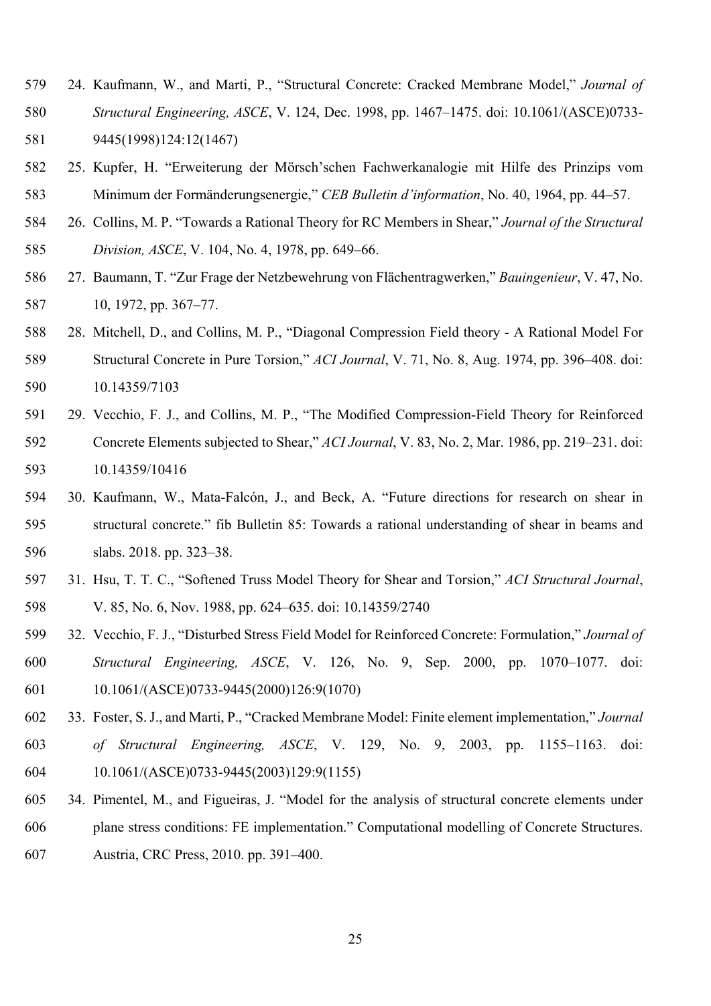- 579 24. Kaufmann, W., and Marti, P., "Structural Concrete: Cracked Membrane Model," *Journal of*  580 *Structural Engineering, ASCE*, V. 124, Dec. 1998, pp. 1467–1475. doi: 10.1061/(ASCE)0733- 581 9445(1998)124:12(1467)
- 582 25. Kupfer, H. "Erweiterung der Mörsch'schen Fachwerkanalogie mit Hilfe des Prinzips vom 583 Minimum der Formänderungsenergie," *CEB Bulletin d'information*, No. 40, 1964, pp. 44–57.
- 584 26. Collins, M. P. "Towards a Rational Theory for RC Members in Shear," *Journal of the Structural*  585 *Division, ASCE*, V. 104, No. 4, 1978, pp. 649–66.
- 586 27. Baumann, T. "Zur Frage der Netzbewehrung von Flächentragwerken," *Bauingenieur*, V. 47, No. 587 10, 1972, pp. 367–77.
- 588 28. Mitchell, D., and Collins, M. P., "Diagonal Compression Field theory A Rational Model For 589 Structural Concrete in Pure Torsion," *ACI Journal*, V. 71, No. 8, Aug. 1974, pp. 396–408. doi: 590 10.14359/7103
- 591 29. Vecchio, F. J., and Collins, M. P., "The Modified Compression-Field Theory for Reinforced 592 Concrete Elements subjected to Shear," *ACI Journal*, V. 83, No. 2, Mar. 1986, pp. 219–231. doi: 593 10.14359/10416
- 594 30. Kaufmann, W., Mata-Falcón, J., and Beck, A. "Future directions for research on shear in 595 structural concrete." fib Bulletin 85: Towards a rational understanding of shear in beams and 596 slabs. 2018. pp. 323–38.
- 597 31. Hsu, T. T. C., "Softened Truss Model Theory for Shear and Torsion," *ACI Structural Journal*, 598 V. 85, No. 6, Nov. 1988, pp. 624–635. doi: 10.14359/2740
- 599 32. Vecchio, F. J., "Disturbed Stress Field Model for Reinforced Concrete: Formulation," *Journal of*  600 *Structural Engineering, ASCE*, V. 126, No. 9, Sep. 2000, pp. 1070–1077. doi: 601 10.1061/(ASCE)0733-9445(2000)126:9(1070)
- 602 33. Foster, S. J., and Marti, P., "Cracked Membrane Model: Finite element implementation," *Journal*  603 *of Structural Engineering, ASCE*, V. 129, No. 9, 2003, pp. 1155–1163. doi: 604 10.1061/(ASCE)0733-9445(2003)129:9(1155)
- 605 34. Pimentel, M., and Figueiras, J. "Model for the analysis of structural concrete elements under 606 plane stress conditions: FE implementation." Computational modelling of Concrete Structures. 607 Austria, CRC Press, 2010. pp. 391–400.
	-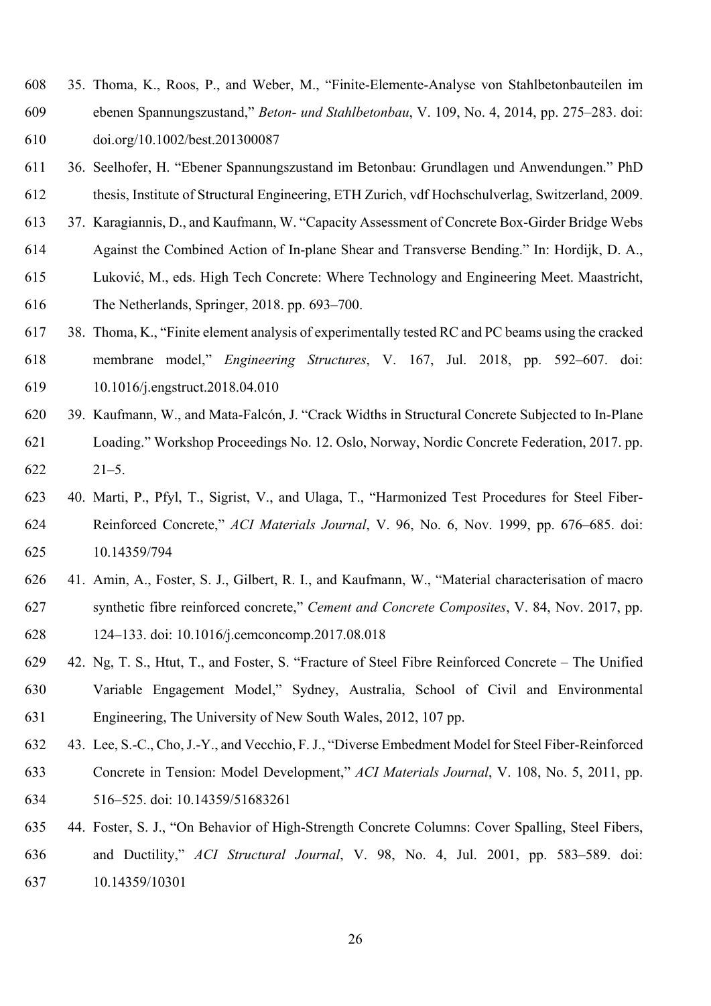- 608 35. Thoma, K., Roos, P., and Weber, M., "Finite-Elemente-Analyse von Stahlbetonbauteilen im 609 ebenen Spannungszustand," *Beton- und Stahlbetonbau*, V. 109, No. 4, 2014, pp. 275–283. doi: 610 doi.org/10.1002/best.201300087
- 611 36. Seelhofer, H. "Ebener Spannungszustand im Betonbau: Grundlagen und Anwendungen." PhD 612 thesis, Institute of Structural Engineering, ETH Zurich, vdf Hochschulverlag, Switzerland, 2009.
- 613 37. Karagiannis, D., and Kaufmann, W. "Capacity Assessment of Concrete Box-Girder Bridge Webs
- 614 Against the Combined Action of In-plane Shear and Transverse Bending." In: Hordijk, D. A.,
- 615 Luković, M., eds. High Tech Concrete: Where Technology and Engineering Meet. Maastricht, 616 The Netherlands, Springer, 2018. pp. 693–700.
- 617 38. Thoma, K., "Finite element analysis of experimentally tested RC and PC beams using the cracked
- 618 membrane model," *Engineering Structures*, V. 167, Jul. 2018, pp. 592–607. doi: 619 10.1016/j.engstruct.2018.04.010
- 620 39. Kaufmann, W., and Mata-Falcón, J. "Crack Widths in Structural Concrete Subjected to In-Plane 621 Loading." Workshop Proceedings No. 12. Oslo, Norway, Nordic Concrete Federation, 2017. pp. 622 21–5.
- 623 40. Marti, P., Pfyl, T., Sigrist, V., and Ulaga, T., "Harmonized Test Procedures for Steel Fiber-624 Reinforced Concrete," *ACI Materials Journal*, V. 96, No. 6, Nov. 1999, pp. 676–685. doi: 625 10.14359/794
- 626 41. Amin, A., Foster, S. J., Gilbert, R. I., and Kaufmann, W., "Material characterisation of macro 627 synthetic fibre reinforced concrete," *Cement and Concrete Composites*, V. 84, Nov. 2017, pp. 628 124–133. doi: 10.1016/j.cemconcomp.2017.08.018
- 629 42. Ng, T. S., Htut, T., and Foster, S. "Fracture of Steel Fibre Reinforced Concrete The Unified 630 Variable Engagement Model," Sydney, Australia, School of Civil and Environmental 631 Engineering, The University of New South Wales, 2012, 107 pp.
- 632 43. Lee, S.-C., Cho, J.-Y., and Vecchio, F. J., "Diverse Embedment Model for Steel Fiber-Reinforced 633 Concrete in Tension: Model Development," *ACI Materials Journal*, V. 108, No. 5, 2011, pp. 634 516–525. doi: 10.14359/51683261
- 635 44. Foster, S. J., "On Behavior of High-Strength Concrete Columns: Cover Spalling, Steel Fibers, 636 and Ductility," *ACI Structural Journal*, V. 98, No. 4, Jul. 2001, pp. 583–589. doi: 637 10.14359/10301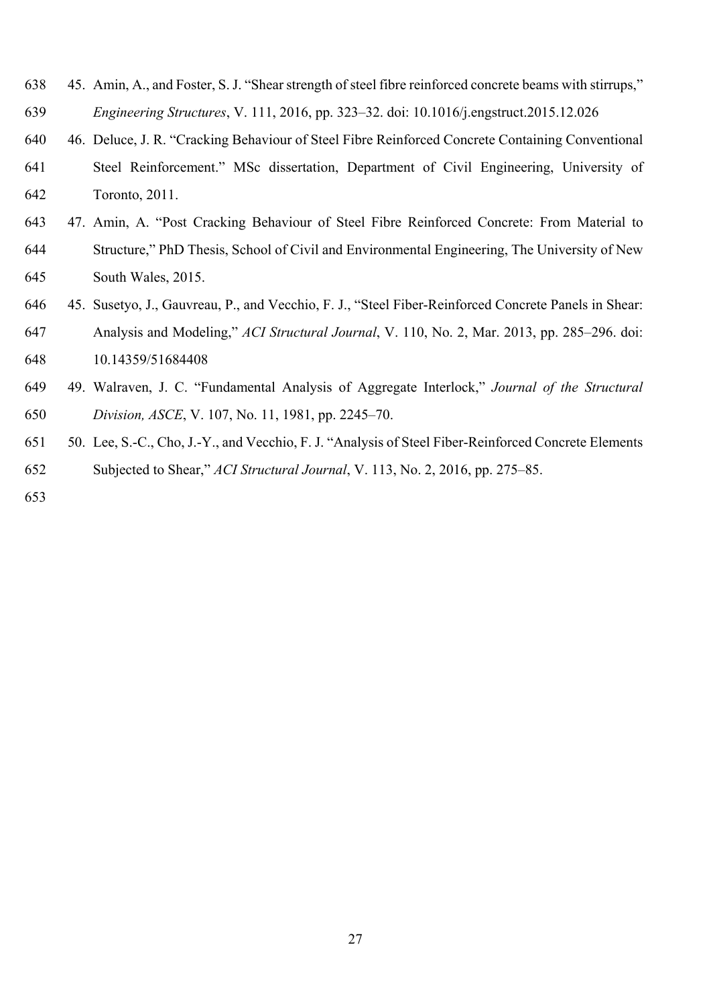- 638 45. Amin, A., and Foster, S. J. "Shear strength of steel fibre reinforced concrete beams with stirrups," 639 *Engineering Structures*, V. 111, 2016, pp. 323–32. doi: 10.1016/j.engstruct.2015.12.026
- 640 46. Deluce, J. R. "Cracking Behaviour of Steel Fibre Reinforced Concrete Containing Conventional
- 641 Steel Reinforcement." MSc dissertation, Department of Civil Engineering, University of 642 Toronto, 2011.
- 643 47. Amin, A. "Post Cracking Behaviour of Steel Fibre Reinforced Concrete: From Material to 644 Structure," PhD Thesis, School of Civil and Environmental Engineering, The University of New 645 South Wales, 2015.
- 646 45. Susetyo, J., Gauvreau, P., and Vecchio, F. J., "Steel Fiber-Reinforced Concrete Panels in Shear: 647 Analysis and Modeling," *ACI Structural Journal*, V. 110, No. 2, Mar. 2013, pp. 285–296. doi:
- 648 10.14359/51684408
- 649 49. Walraven, J. C. "Fundamental Analysis of Aggregate Interlock," *Journal of the Structural*  650 *Division, ASCE*, V. 107, No. 11, 1981, pp. 2245–70.
- 651 50. Lee, S.-C., Cho, J.-Y., and Vecchio, F. J. "Analysis of Steel Fiber-Reinforced Concrete Elements 652 Subjected to Shear," *ACI Structural Journal*, V. 113, No. 2, 2016, pp. 275–85.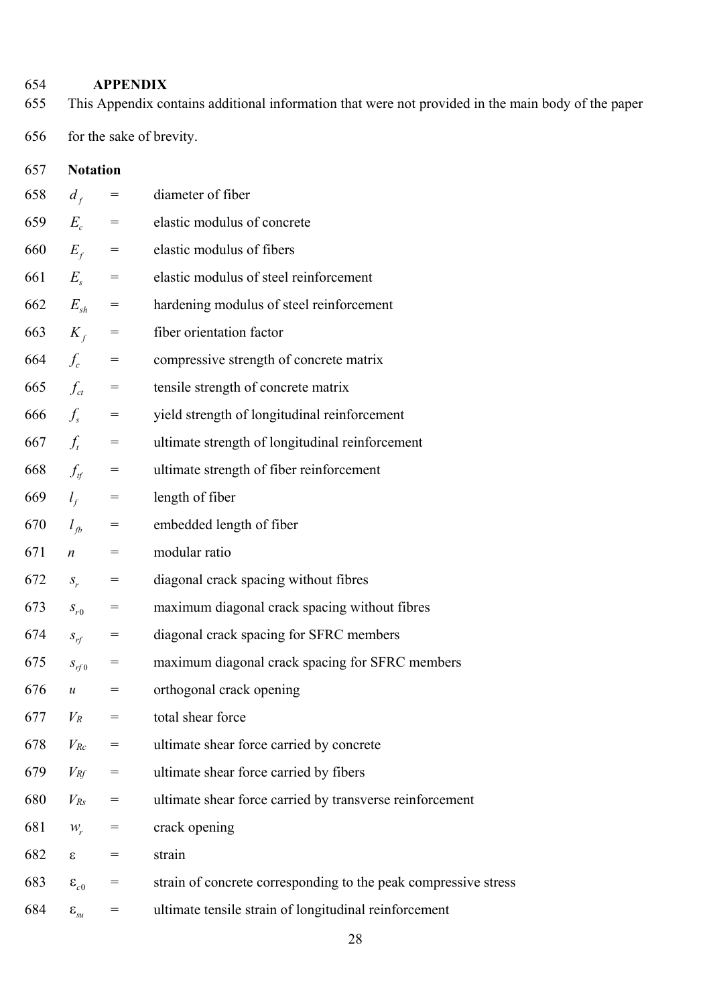# **APPENDIX**

- 655 This Appendix contains additional information that were not provided in the main body of the paper
- 656 for the sake of brevity.

| 657 | <b>Notation</b>                          |             |                                                                 |  |  |  |
|-----|------------------------------------------|-------------|-----------------------------------------------------------------|--|--|--|
| 658 | $d_f$                                    | $=$         | diameter of fiber                                               |  |  |  |
|     |                                          | 659 $E_c =$ | elastic modulus of concrete                                     |  |  |  |
|     | 660 $E_f$ =                              |             | elastic modulus of fibers                                       |  |  |  |
|     | 661 $E_s$ =                              |             | elastic modulus of steel reinforcement                          |  |  |  |
|     | 662 $E_{sh}$ =                           |             | hardening modulus of steel reinforcement                        |  |  |  |
|     | 663 $K_f$                                | $=$         | fiber orientation factor                                        |  |  |  |
| 664 | $f_c$ =                                  |             | compressive strength of concrete matrix                         |  |  |  |
|     | 665 $f_{ct}$ =                           |             | tensile strength of concrete matrix                             |  |  |  |
| 666 | $f_s$ =                                  |             | yield strength of longitudinal reinforcement                    |  |  |  |
| 667 | $f_t =$                                  |             | ultimate strength of longitudinal reinforcement                 |  |  |  |
| 668 | $f_{\rm tf}$                             | $=$         | ultimate strength of fiber reinforcement                        |  |  |  |
| 669 | $l_f$ =                                  |             | length of fiber                                                 |  |  |  |
| 670 | $l_{tb}$ =                               |             | embedded length of fiber                                        |  |  |  |
| 671 | $\mathbf{n}$                             | $=$         | modular ratio                                                   |  |  |  |
| 672 | $S_r$                                    | $=$         | diagonal crack spacing without fibres                           |  |  |  |
| 673 | $S_{r0}$                                 | $=$         | maximum diagonal crack spacing without fibres                   |  |  |  |
| 674 | $S_{rf}$                                 | $=$         | diagonal crack spacing for SFRC members                         |  |  |  |
| 675 | $S_{rf0}$                                | $=$         | maximum diagonal crack spacing for SFRC members                 |  |  |  |
| 676 | $\mathcal{U}$                            | $=$         | orthogonal crack opening                                        |  |  |  |
| 677 | $V_R$                                    | $=$         | total shear force                                               |  |  |  |
| 678 | $V_{Rc}$                                 | $=$         | ultimate shear force carried by concrete                        |  |  |  |
| 679 | $V_{Rf}$                                 | $=$         | ultimate shear force carried by fibers                          |  |  |  |
| 680 | $V_{Rs}$                                 | $=$         | ultimate shear force carried by transverse reinforcement        |  |  |  |
| 681 | $W_r$                                    | $=$         | crack opening                                                   |  |  |  |
| 682 | $\epsilon$                               | $=$         | strain                                                          |  |  |  |
| 683 | $\varepsilon_{c0}$                       | $=$         | strain of concrete corresponding to the peak compressive stress |  |  |  |
| 684 | $\boldsymbol{\varepsilon}_{\mathit{su}}$ | $=$         | ultimate tensile strain of longitudinal reinforcement           |  |  |  |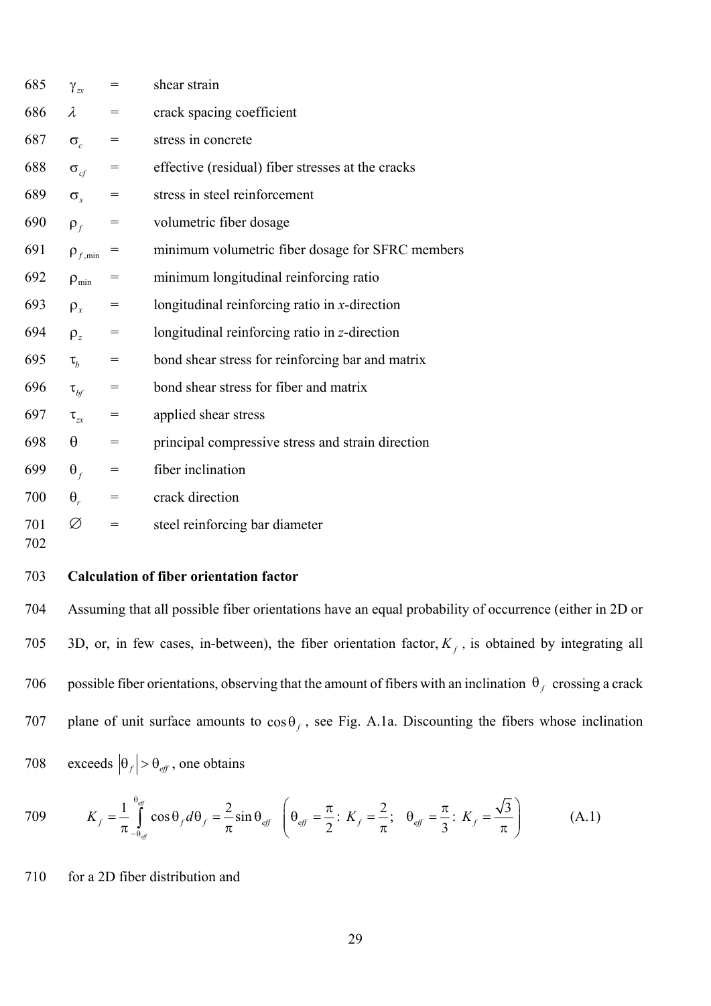| 685 | $\gamma_{zx}$         | $=$                                 | shear strain                                      |
|-----|-----------------------|-------------------------------------|---------------------------------------------------|
| 686 | λ                     | $=$                                 | crack spacing coefficient                         |
| 687 | $\sigma_{c}$          | $=$                                 | stress in concrete                                |
| 688 | $\sigma_{\rm cf}$     | $=$                                 | effective (residual) fiber stresses at the cracks |
| 689 | $\sigma_{s}$          | $=$                                 | stress in steel reinforcement                     |
| 690 | $\rho_f$              | $=$                                 | volumetric fiber dosage                           |
| 691 | $\rho_{f,\text{min}}$ | $=$                                 | minimum volumetric fiber dosage for SFRC members  |
| 692 | $\rho_{\min}$         | $=$                                 | minimum longitudinal reinforcing ratio            |
| 693 | $\rho_{x}$            | $=$                                 | longitudinal reinforcing ratio in $x$ -direction  |
| 694 | $\rho_z$              | $=$                                 | longitudinal reinforcing ratio in z-direction     |
| 695 | $\tau_{h}$            | $=$                                 | bond shear stress for reinforcing bar and matrix  |
| 696 | $\tau_{\mathit{bf}}$  | $=$                                 | bond shear stress for fiber and matrix            |
| 697 | $\tau_{zx}$           | $=$                                 | applied shear stress                              |
| 698 | θ                     | $=$                                 | principal compressive stress and strain direction |
| 699 | $\theta_f$            | $=$                                 | fiber inclination                                 |
| 700 | $\theta_{r}$          | $\hspace*{0.4em} = \hspace*{0.4em}$ | crack direction                                   |
| 701 | Ø                     | $=$                                 | steel reinforcing bar diameter                    |
| 702 |                       |                                     |                                                   |

# 703 **Calculation of fiber orientation factor**

704 Assuming that all possible fiber orientations have an equal probability of occurrence (either in 2D or 3D, or, in few cases, in-between), the fiber orientation factor,  $K_f$ , is obtained by integrating all 706 possible fiber orientations, observing that the amount of fibers with an inclination  $\theta_f$  crossing a crack 707 plane of unit surface amounts to  $\cos \theta_f$ , see Fig. A.1a. Discounting the fibers whose inclination 708 exceeds  $|\theta_f| > \theta_{\text{eff}}$ , one obtains

$$
709 \t K_f = \frac{1}{\pi} \int_{-\theta_{eff}}^{\theta_{eff}} \cos \theta_f d\theta_f = \frac{2}{\pi} \sin \theta_{eff} \left( \theta_{eff} = \frac{\pi}{2} : K_f = \frac{2}{\pi}; \quad \theta_{eff} = \frac{\pi}{3} : K_f = \frac{\sqrt{3}}{\pi} \right) \tag{A.1}
$$

710 for a 2D fiber distribution and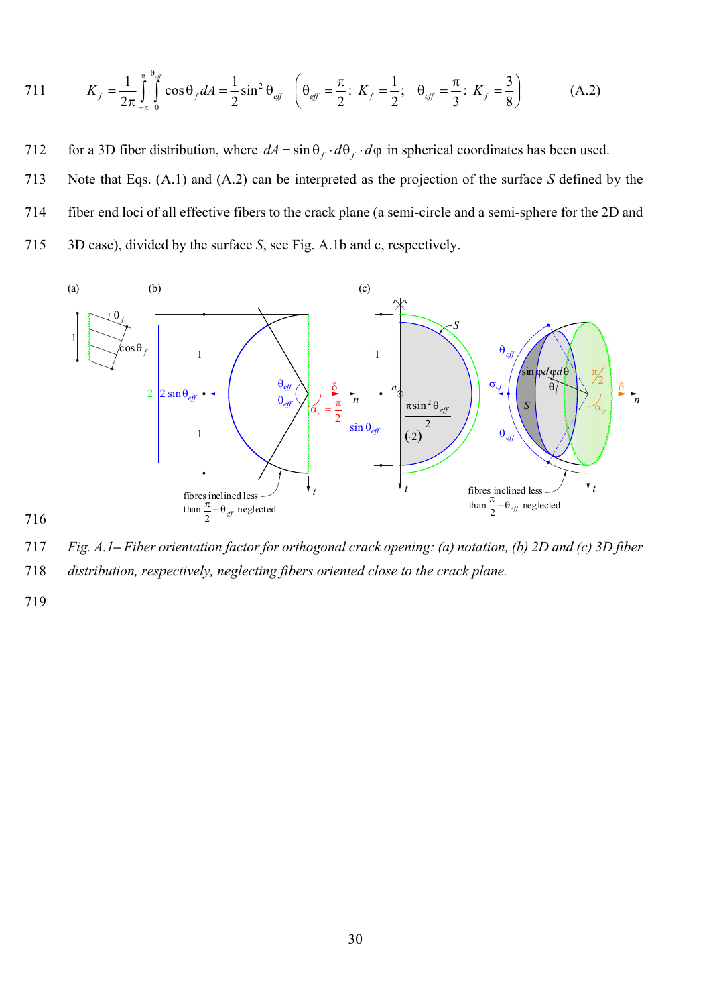711 
$$
K_f = \frac{1}{2\pi} \int_{-\pi}^{\pi} \int_{0}^{\theta_{eff}} \cos \theta_f dA = \frac{1}{2} \sin^2 \theta_{eff} \quad \left( \theta_{eff} = \frac{\pi}{2} : K_f = \frac{1}{2}; \quad \theta_{eff} = \frac{\pi}{3} : K_f = \frac{3}{8} \right)
$$
(A.2)

712 for a 3D fiber distribution, where  $dA = \sin \theta_f \cdot d\theta_f \cdot d\varphi$  in spherical coordinates has been used.

713 Note that Eqs. (A.1) and (A.2) can be interpreted as the projection of the surface *S* defined by the 714 fiber end loci of all effective fibers to the crack plane (a semi-circle and a semi-sphere for the 2D and 715 3D case), divided by the surface *S*, see Fig. A.1b and c, respectively.



716

717 *Fig. A.1– Fiber orientation factor for orthogonal crack opening: (a) notation, (b) 2D and (c) 3D fiber*  718 *distribution, respectively, neglecting fibers oriented close to the crack plane.*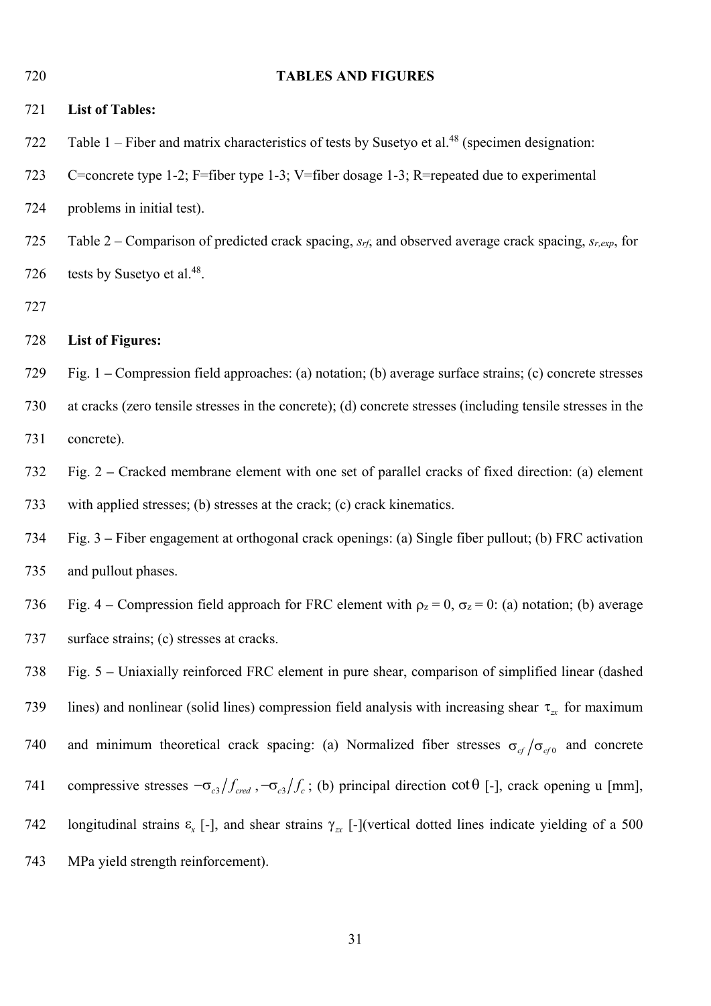| 720 | <b>TABLES AND FIGURES</b>                                                                                                                  |  |  |  |
|-----|--------------------------------------------------------------------------------------------------------------------------------------------|--|--|--|
| 721 | <b>List of Tables:</b>                                                                                                                     |  |  |  |
| 722 | Table $1$ – Fiber and matrix characteristics of tests by Susetyo et al. <sup>48</sup> (specimen designation:                               |  |  |  |
| 723 | C=concrete type 1-2; F=fiber type 1-3; V=fiber dosage 1-3; R=repeated due to experimental                                                  |  |  |  |
| 724 | problems in initial test).                                                                                                                 |  |  |  |
| 725 | Table 2 – Comparison of predicted crack spacing, $s_{rf}$ , and observed average crack spacing, $s_{r,exp}$ , for                          |  |  |  |
| 726 | tests by Susetyo et al. <sup>48</sup> .                                                                                                    |  |  |  |
| 727 |                                                                                                                                            |  |  |  |
| 728 | <b>List of Figures:</b>                                                                                                                    |  |  |  |
| 729 | Fig. 1 – Compression field approaches: (a) notation; (b) average surface strains; (c) concrete stresses                                    |  |  |  |
| 730 | at cracks (zero tensile stresses in the concrete); (d) concrete stresses (including tensile stresses in the                                |  |  |  |
| 731 | concrete).                                                                                                                                 |  |  |  |
| 732 | Fig. 2 – Cracked membrane element with one set of parallel cracks of fixed direction: (a) element                                          |  |  |  |
| 733 | with applied stresses; (b) stresses at the crack; (c) crack kinematics.                                                                    |  |  |  |
| 734 | Fig. 3 – Fiber engagement at orthogonal crack openings: (a) Single fiber pullout; (b) FRC activation                                       |  |  |  |
| 735 | and pullout phases.                                                                                                                        |  |  |  |
| 736 | Fig. 4 – Compression field approach for FRC element with $\rho_z = 0$ , $\sigma_z = 0$ : (a) notation; (b) average                         |  |  |  |
| 737 | surface strains; (c) stresses at cracks.                                                                                                   |  |  |  |
| 738 | Fig. 5 – Uniaxially reinforced FRC element in pure shear, comparison of simplified linear (dashed                                          |  |  |  |
| 739 | lines) and nonlinear (solid lines) compression field analysis with increasing shear $\tau_{\alpha}$ for maximum                            |  |  |  |
| 740 | and minimum theoretical crack spacing: (a) Normalized fiber stresses $\sigma_{cf}/\sigma_{cf0}$ and concrete                               |  |  |  |
| 741 | compressive stresses $-\sigma_{c3}/f_{\text{cred}}$ , $-\sigma_{c3}/f_c$ ; (b) principal direction cot $\theta$ [-], crack opening u [mm], |  |  |  |
| 742 | longitudinal strains $\varepsilon_x$ [-], and shear strains $\gamma_{zx}$ [-](vertical dotted lines indicate yielding of a 500             |  |  |  |
| 743 | MPa yield strength reinforcement).                                                                                                         |  |  |  |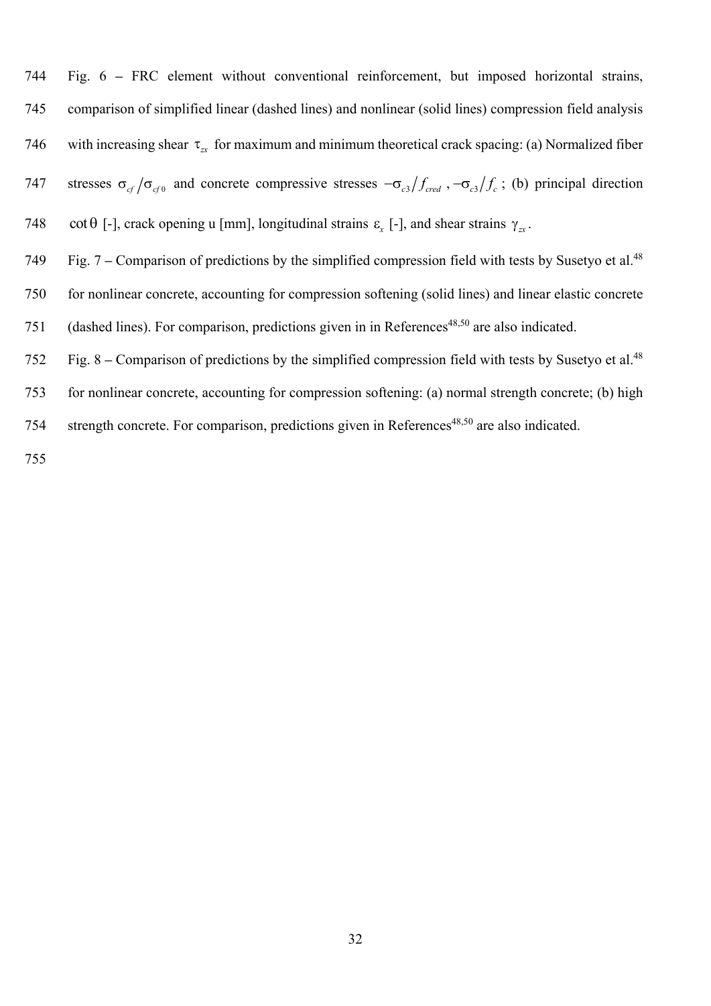744 Fig. 6 **–** FRC element without conventional reinforcement, but imposed horizontal strains, 745 comparison of simplified linear (dashed lines) and nonlinear (solid lines) compression field analysis 746 with increasing shear  $\tau_{\alpha}$  for maximum and minimum theoretical crack spacing: (a) Normalized fiber 747 stresses  $\sigma_{cf}/\sigma_{cf}$  and concrete compressive stresses  $-\sigma_{c3}/f_{\text{cred}}$ ,  $-\sigma_{c3}/f_c$ ; (b) principal direction

- 748  $\cot \theta$  [-], crack opening u [mm], longitudinal strains  $\varepsilon_x$  [-], and shear strains  $\gamma_x$ .
- The Fig. 7 Comparison of predictions by the simplified compression field with tests by Susetyo et al.<sup>48</sup> 750 for nonlinear concrete, accounting for compression softening (solid lines) and linear elastic concrete 751 (dashed lines). For comparison, predictions given in in References<sup>48,50</sup> are also indicated.
- Fig. 8 Comparison of predictions by the simplified compression field with tests by Susetyo et al.48 752
- 753 for nonlinear concrete, accounting for compression softening: (a) normal strength concrete; (b) high
- 754 strength concrete. For comparison, predictions given in References<sup>48,50</sup> are also indicated.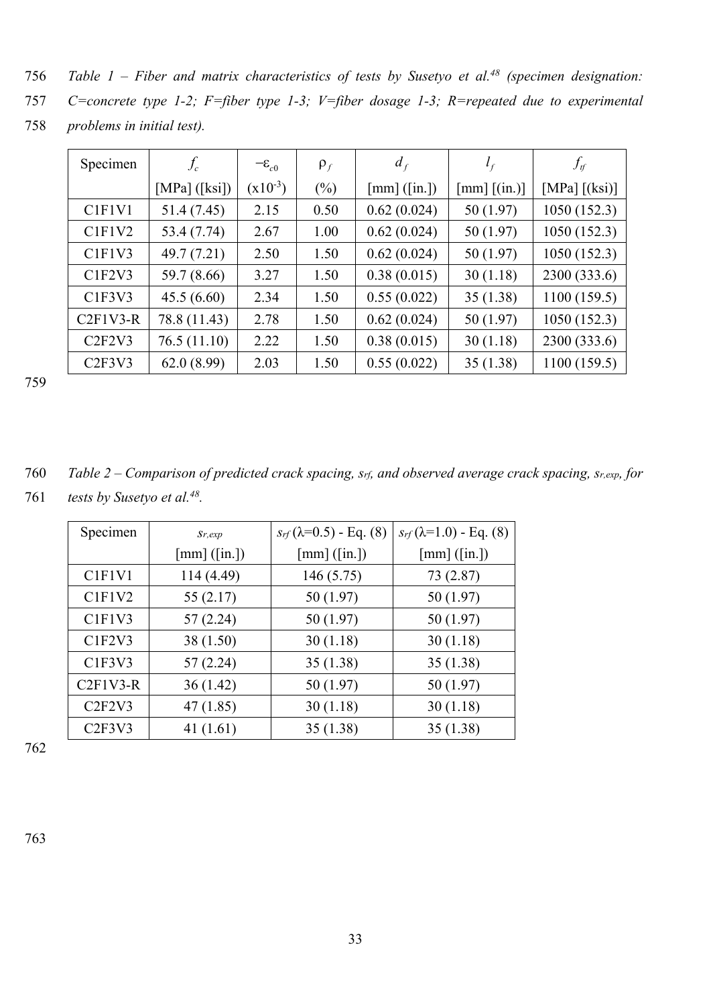- *Table 1 Fiber and matrix characteristics of tests by Susetyo et al.48* 756 *(specimen designation:*
- 757 *C=concrete type 1-2; F=fiber type 1-3; V=fiber dosage 1-3; R=repeated due to experimental*
- 758 *problems in initial test).*

| Specimen                        | $f_c$           | $-\varepsilon_{c0}$ | $\rho_f$ | $d_f$          | $l_f$             | $f_{\rm \scriptscriptstyle tf}$ |
|---------------------------------|-----------------|---------------------|----------|----------------|-------------------|---------------------------------|
|                                 | [MPa] $([ksi])$ | $(x10^{-3})$        | $(\%)$   | $[mm]$ ([in.]) | $[mm]$ $[$ (in.)] | [MPa] $[(ksi)]$                 |
| C <sub>1</sub> F <sub>1V1</sub> | 51.4 (7.45)     | 2.15                | 0.50     | 0.62(0.024)    | 50 (1.97)         | 1050(152.3)                     |
| CIFIV2                          | 53.4 (7.74)     | 2.67                | 1.00     | 0.62(0.024)    | 50 (1.97)         | 1050(152.3)                     |
| CIFIV3                          | 49.7 (7.21)     | 2.50                | 1.50     | 0.62(0.024)    | 50 (1.97)         | 1050(152.3)                     |
| CIF2V3                          | 59.7 (8.66)     | 3.27                | 1.50     | 0.38(0.015)    | 30(1.18)          | 2300 (333.6)                    |
| CIF3V3                          | 45.5(6.60)      | 2.34                | 1.50     | 0.55(0.022)    | 35(1.38)          | 1100(159.5)                     |
| $C2F1V3-R$                      | 78.8 (11.43)    | 2.78                | 1.50     | 0.62(0.024)    | 50 (1.97)         | 1050(152.3)                     |
| C2F2V3                          | 76.5(11.10)     | 2.22                | 1.50     | 0.38(0.015)    | 30(1.18)          | 2300 (333.6)                    |
| C2F3V3                          | 62.0(8.99)      | 2.03                | 1.50     | 0.55(0.022)    | 35(1.38)          | 1100(159.5)                     |

| 760 | Table 2 – Comparison of predicted crack spacing, $s_{rf}$ , and observed average crack spacing, $s_{r,exp}$ , for |
|-----|-------------------------------------------------------------------------------------------------------------------|
| 761 | <i>tests by Susetyo et al.</i> <sup>48</sup> .                                                                    |

| Specimen                        | $S_{r,exp}$    | $s_{rf}(\lambda=0.5)$ - Eq. (8) | $s_{rf}(\lambda=1.0)$ - Eq. (8) |
|---------------------------------|----------------|---------------------------------|---------------------------------|
|                                 | $[mm]$ ([in.]) | $[mm]$ ([in.])                  | $[mm]$ ([in.])                  |
| C <sub>1</sub> F <sub>1V1</sub> | 114 (4.49)     | 146 (5.75)                      | 73 (2.87)                       |
| C <sub>1F1V2</sub>              | 55 (2.17)      | 50 (1.97)                       | 50 (1.97)                       |
| C <sub>1F1V3</sub>              | 57 (2.24)      | 50 (1.97)                       | 50 (1.97)                       |
| C <sub>1F2V3</sub>              | 38 (1.50)      | 30(1.18)                        | 30(1.18)                        |
| CIF3V3                          | 57 (2.24)      | 35 (1.38)                       | 35(1.38)                        |
| $C2F1V3-R$                      | 36 (1.42)      | 50 (1.97)                       | 50 (1.97)                       |
| C2F2V3                          | 47 (1.85)      | 30(1.18)                        | 30(1.18)                        |
| C2F3V3                          | 41 $(1.61)$    | 35 (1.38)                       | 35 (1.38)                       |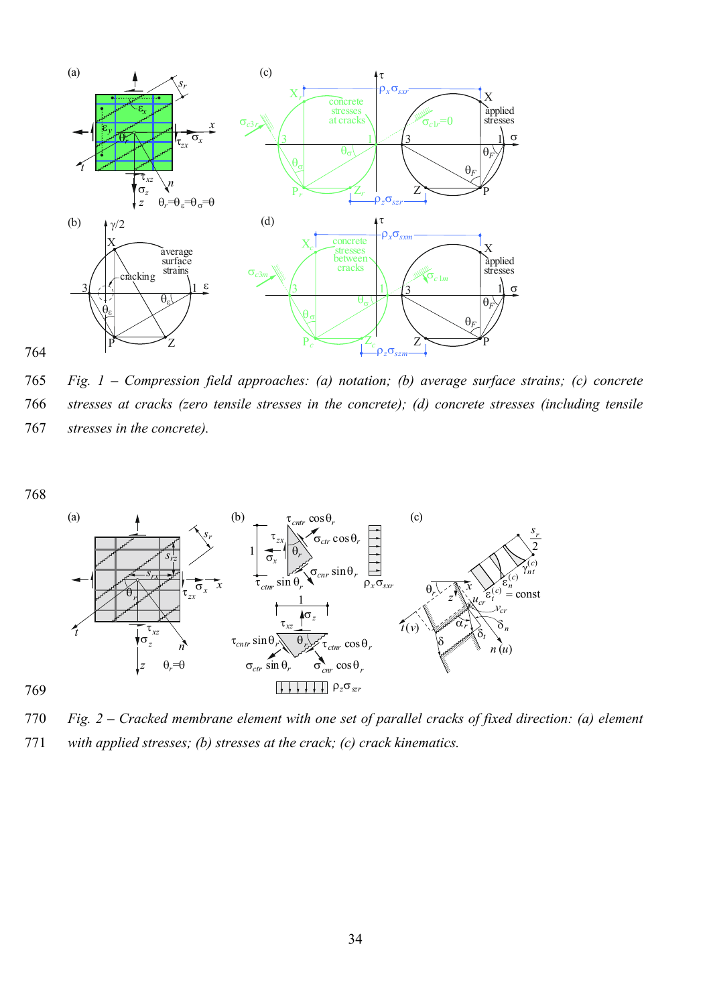

765 *Fig. 1 – Compression field approaches: (a) notation; (b) average surface strains; (c) concrete*  766 *stresses at cracks (zero tensile stresses in the concrete); (d) concrete stresses (including tensile*  767 *stresses in the concrete).*



770 *Fig. 2 – Cracked membrane element with one set of parallel cracks of fixed direction: (a) element*  771 *with applied stresses; (b) stresses at the crack; (c) crack kinematics.*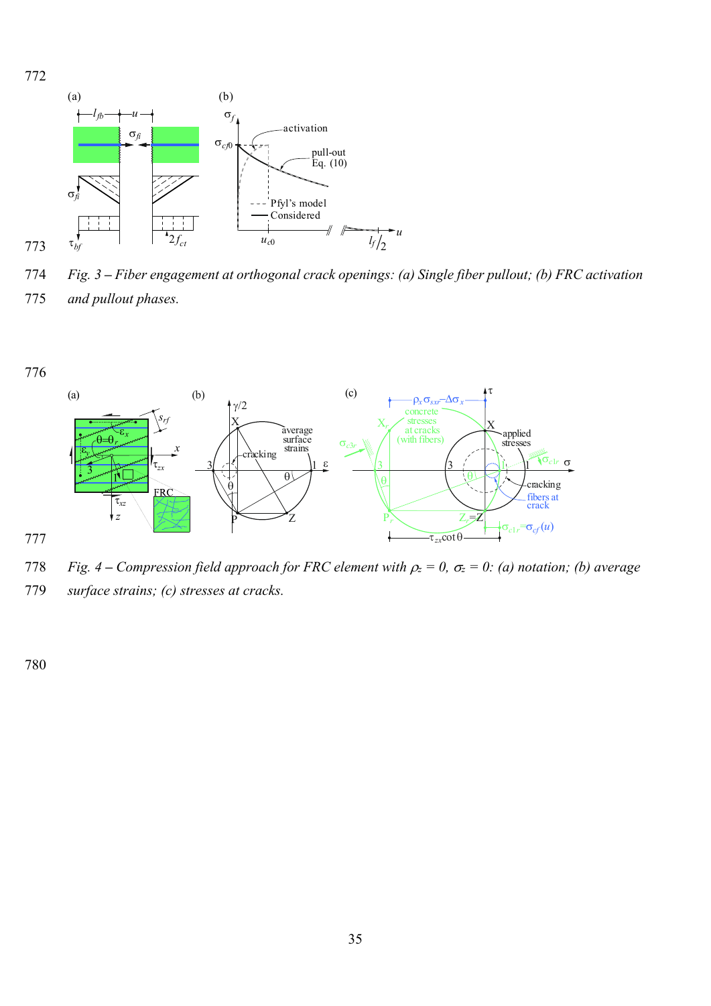

774 *Fig. 3 – Fiber engagement at orthogonal crack openings: (a) Single fiber pullout; (b) FRC activation*  775 *and pullout phases.*





777

- 778 *Fig. 4 Compression field approach for FRC element with*  $\rho_z = 0$ *,*  $\sigma_z = 0$ *: (a) notation; (b) average*
- 779 *surface strains; (c) stresses at cracks.*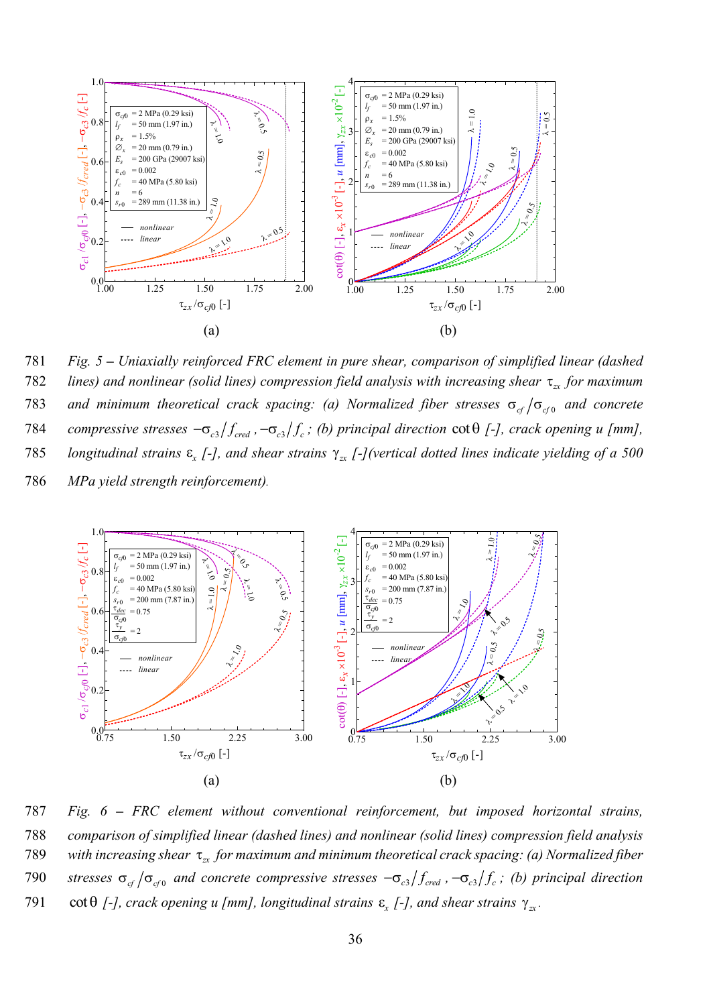

781 *Fig. 5 – Uniaxially reinforced FRC element in pure shear, comparison of simplified linear (dashed lines) and nonlinear (solid lines) compression field analysis with increasing shear*  $\tau_{xx}$  *for maximum and minimum theoretical crack spacing: (a) Normalized fiber stresses*  $\sigma_{cf}/\sigma_{cf}$  *and concrete 784 compressive stresses*  $-\sigma_{c3}/f_{\text{cred}}$ ,  $-\sigma_{c3}/f_c$ ; (b) principal direction cot  $\theta$  [-], crack opening u [mm], 785 *longitudinal strains*  $\varepsilon$ <sub>x</sub> [-], and shear strains  $\gamma$ <sub>xx</sub> [-](vertical dotted lines indicate yielding of a 500 786 *MPa yield strength reinforcement).*



787 *Fig. 6 – FRC element without conventional reinforcement, but imposed horizontal strains,*  788 *comparison of simplified linear (dashed lines) and nonlinear (solid lines) compression field analysis*  789 *with increasing shear*  $\tau_{xx}$  *for maximum and minimum theoretical crack spacing: (a) Normalized fiber 790 stresses*  $\sigma_{cf}/\sigma_{cf0}$  and concrete compressive stresses  $-\sigma_{cs}/f_{\text{cred}}$ ,  $-\sigma_{cs}/f_c$ ; (b) principal direction 791  $\cot \theta$  *[-], crack opening u [mm], longitudinal strains*  $\varepsilon$ *<sub>x</sub> <i>[-], and shear strains*  $\gamma_{zx}$ .